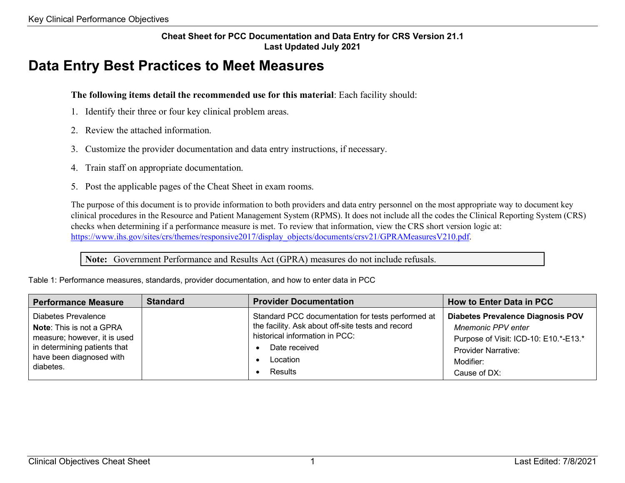## **Cheat Sheet for PCC Documentation and Data Entry for CRS Version 21.1 Last Updated July 2021**

## **Data Entry Best Practices to Meet Measures**

## **The following items detail the recommended use for this material**: Each facility should:

- 1. Identify their three or four key clinical problem areas.
- 2. Review the attached information.
- 3. Customize the provider documentation and data entry instructions, if necessary.
- 4. Train staff on appropriate documentation.
- 5. Post the applicable pages of the Cheat Sheet in exam rooms.

The purpose of this document is to provide information to both providers and data entry personnel on the most appropriate way to document key clinical procedures in the Resource and Patient Management System (RPMS). It does not include all the codes the Clinical Reporting System (CRS) checks when determining if a performance measure is met. To review that information, view the CRS short version logic at: [https://www.ihs.gov/sites/crs/themes/responsive2017/display\\_objects/documents/crsv21/GPRAMeasuresV210.pdf.](https://www.ihs.gov/sites/crs/themes/responsive2017/display_objects/documents/crsv21/GPRAMeasuresV210.pdf)

**Note:** Government Performance and Results Act (GPRA) measures do not include refusals.

| <b>Performance Measure</b>      | <b>Standard</b> | <b>Provider Documentation</b>                     | <b>How to Enter Data in PCC</b>          |
|---------------------------------|-----------------|---------------------------------------------------|------------------------------------------|
| <b>Diabetes Prevalence</b>      |                 | Standard PCC documentation for tests performed at | <b>Diabetes Prevalence Diagnosis POV</b> |
| <b>Note:</b> This is not a GPRA |                 | the facility. Ask about off-site tests and record | <b>Mnemonic PPV enter</b>                |
| measure; however, it is used    |                 | historical information in PCC:                    | Purpose of Visit: ICD-10: E10.*-E13.*    |
| in determining patients that    |                 | Date received                                     | <b>Provider Narrative:</b>               |
| have been diagnosed with        |                 | Location                                          | Modifier:                                |
| diabetes.                       |                 | Results                                           | Cause of DX:                             |

Table 1: Performance measures, standards, provider documentation, and how to enter data in PCC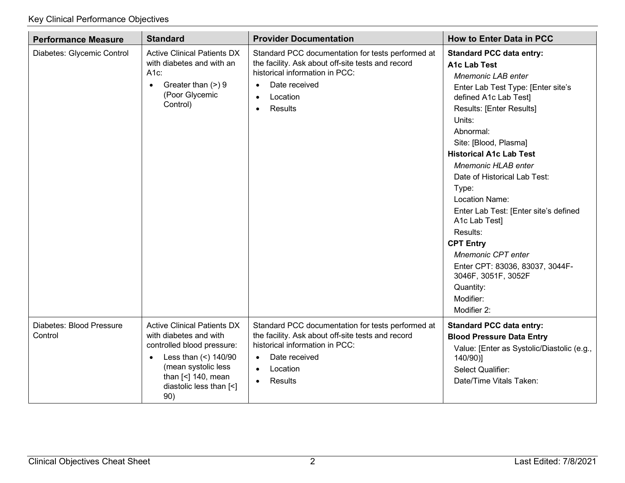| <b>Performance Measure</b>          | <b>Standard</b>                                                                                                                                                                                                                     | <b>Provider Documentation</b>                                                                                                                                                                                           | <b>How to Enter Data in PCC</b>                                                                                                                                                                                                                                                                                                                                                                                                                                                                                                                                                            |
|-------------------------------------|-------------------------------------------------------------------------------------------------------------------------------------------------------------------------------------------------------------------------------------|-------------------------------------------------------------------------------------------------------------------------------------------------------------------------------------------------------------------------|--------------------------------------------------------------------------------------------------------------------------------------------------------------------------------------------------------------------------------------------------------------------------------------------------------------------------------------------------------------------------------------------------------------------------------------------------------------------------------------------------------------------------------------------------------------------------------------------|
| Diabetes: Glycemic Control          | <b>Active Clinical Patients DX</b><br>with diabetes and with an<br>A1c:<br>Greater than (>) 9<br>$\bullet$<br>(Poor Glycemic<br>Control)                                                                                            | Standard PCC documentation for tests performed at<br>the facility. Ask about off-site tests and record<br>historical information in PCC:<br>Date received<br>$\bullet$<br>Location<br>$\bullet$<br>Results<br>$\bullet$ | <b>Standard PCC data entry:</b><br><b>A1c Lab Test</b><br><b>Mnemonic LAB enter</b><br>Enter Lab Test Type: [Enter site's<br>defined A1c Lab Test]<br>Results: [Enter Results]<br>Units:<br>Abnormal:<br>Site: [Blood, Plasma]<br><b>Historical A1c Lab Test</b><br><b>Mnemonic HLAB enter</b><br>Date of Historical Lab Test:<br>Type:<br><b>Location Name:</b><br>Enter Lab Test: [Enter site's defined<br>A1c Lab Test]<br>Results:<br><b>CPT Entry</b><br><b>Mnemonic CPT enter</b><br>Enter CPT: 83036, 83037, 3044F-<br>3046F, 3051F, 3052F<br>Quantity:<br>Modifier:<br>Modifier 2: |
| Diabetes: Blood Pressure<br>Control | <b>Active Clinical Patients DX</b><br>with diabetes and with<br>controlled blood pressure:<br>Less than $($ $2)$ 140/90<br>$\bullet$<br>(mean systolic less<br>than $\left[\leq\right]$ 140, mean<br>diastolic less than [<]<br>90) | Standard PCC documentation for tests performed at<br>the facility. Ask about off-site tests and record<br>historical information in PCC:<br>Date received<br>$\bullet$<br>Location<br>$\bullet$<br>Results<br>$\bullet$ | <b>Standard PCC data entry:</b><br><b>Blood Pressure Data Entry</b><br>Value: [Enter as Systolic/Diastolic (e.g.,<br>140/90)]<br>Select Qualifier:<br>Date/Time Vitals Taken:                                                                                                                                                                                                                                                                                                                                                                                                              |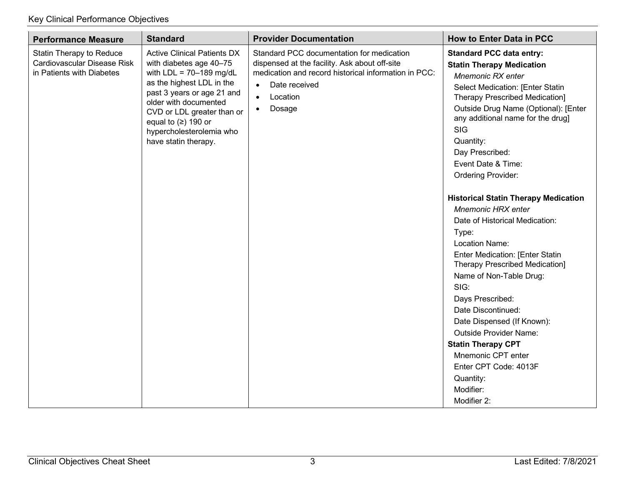| <b>Performance Measure</b>                                                                                                                                                                                                                                                                                                                                                        | <b>Standard</b>                                                                                                                                                                                                                  | <b>Provider Documentation</b>                                                                                                                                                                                                                                                                                                                                                                                                                                       | <b>How to Enter Data in PCC</b>                                                                                                                                                                                                                                                                                                                                    |
|-----------------------------------------------------------------------------------------------------------------------------------------------------------------------------------------------------------------------------------------------------------------------------------------------------------------------------------------------------------------------------------|----------------------------------------------------------------------------------------------------------------------------------------------------------------------------------------------------------------------------------|---------------------------------------------------------------------------------------------------------------------------------------------------------------------------------------------------------------------------------------------------------------------------------------------------------------------------------------------------------------------------------------------------------------------------------------------------------------------|--------------------------------------------------------------------------------------------------------------------------------------------------------------------------------------------------------------------------------------------------------------------------------------------------------------------------------------------------------------------|
| Statin Therapy to Reduce<br><b>Active Clinical Patients DX</b><br>Cardiovascular Disease Risk<br>with diabetes age 40-75<br>with $LDL = 70-189$ mg/dL<br>in Patients with Diabetes<br>as the highest LDL in the<br>past 3 years or age 21 and<br>older with documented<br>CVD or LDL greater than or<br>equal to $(≥)$ 190 or<br>hypercholesterolemia who<br>have statin therapy. | Standard PCC documentation for medication<br>dispensed at the facility. Ask about off-site<br>medication and record historical information in PCC:<br>Date received<br>$\bullet$<br>Location<br>$\bullet$<br>Dosage<br>$\bullet$ | <b>Standard PCC data entry:</b><br><b>Statin Therapy Medication</b><br>Mnemonic RX enter<br>Select Medication: [Enter Statin<br><b>Therapy Prescribed Medication]</b><br>Outside Drug Name (Optional): [Enter<br>any additional name for the drug]<br>SIG<br>Quantity:<br>Day Prescribed:<br>Event Date & Time:<br><b>Ordering Provider:</b><br><b>Historical Statin Therapy Medication</b><br><b>Mnemonic HRX enter</b><br>Date of Historical Medication:<br>Type: |                                                                                                                                                                                                                                                                                                                                                                    |
|                                                                                                                                                                                                                                                                                                                                                                                   |                                                                                                                                                                                                                                  |                                                                                                                                                                                                                                                                                                                                                                                                                                                                     | Location Name:<br><b>Enter Medication: [Enter Statin</b><br><b>Therapy Prescribed Medication]</b><br>Name of Non-Table Drug:<br>SIG:<br>Days Prescribed:<br>Date Discontinued:<br>Date Dispensed (If Known):<br><b>Outside Provider Name:</b><br><b>Statin Therapy CPT</b><br>Mnemonic CPT enter<br>Enter CPT Code: 4013F<br>Quantity:<br>Modifier:<br>Modifier 2: |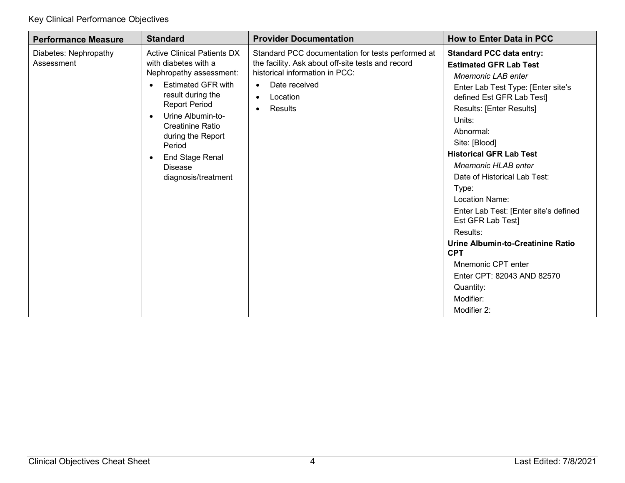| <b>Performance Measure</b>          | <b>Standard</b>                                                                                                                                                                                                                                                                                                                                          | <b>Provider Documentation</b>                                                                                                                                                                                           | <b>How to Enter Data in PCC</b>                                                                                                                                                                                                                                                                                                                                                                                                                                                                                                                                                    |
|-------------------------------------|----------------------------------------------------------------------------------------------------------------------------------------------------------------------------------------------------------------------------------------------------------------------------------------------------------------------------------------------------------|-------------------------------------------------------------------------------------------------------------------------------------------------------------------------------------------------------------------------|------------------------------------------------------------------------------------------------------------------------------------------------------------------------------------------------------------------------------------------------------------------------------------------------------------------------------------------------------------------------------------------------------------------------------------------------------------------------------------------------------------------------------------------------------------------------------------|
| Diabetes: Nephropathy<br>Assessment | <b>Active Clinical Patients DX</b><br>with diabetes with a<br>Nephropathy assessment:<br><b>Estimated GFR with</b><br>$\bullet$<br>result during the<br><b>Report Period</b><br>Urine Albumin-to-<br>$\bullet$<br><b>Creatinine Ratio</b><br>during the Report<br>Period<br><b>End Stage Renal</b><br>$\bullet$<br><b>Disease</b><br>diagnosis/treatment | Standard PCC documentation for tests performed at<br>the facility. Ask about off-site tests and record<br>historical information in PCC:<br>Date received<br>$\bullet$<br>Location<br>$\bullet$<br>Results<br>$\bullet$ | <b>Standard PCC data entry:</b><br><b>Estimated GFR Lab Test</b><br>Mnemonic LAB enter<br>Enter Lab Test Type: [Enter site's<br>defined Est GFR Lab Test]<br>Results: [Enter Results]<br>Units:<br>Abnormal:<br>Site: [Blood]<br><b>Historical GFR Lab Test</b><br><b>Mnemonic HLAB enter</b><br>Date of Historical Lab Test:<br>Type:<br>Location Name:<br>Enter Lab Test: [Enter site's defined<br>Est GFR Lab Test]<br>Results:<br>Urine Albumin-to-Creatinine Ratio<br><b>CPT</b><br>Mnemonic CPT enter<br>Enter CPT: 82043 AND 82570<br>Quantity:<br>Modifier:<br>Modifier 2: |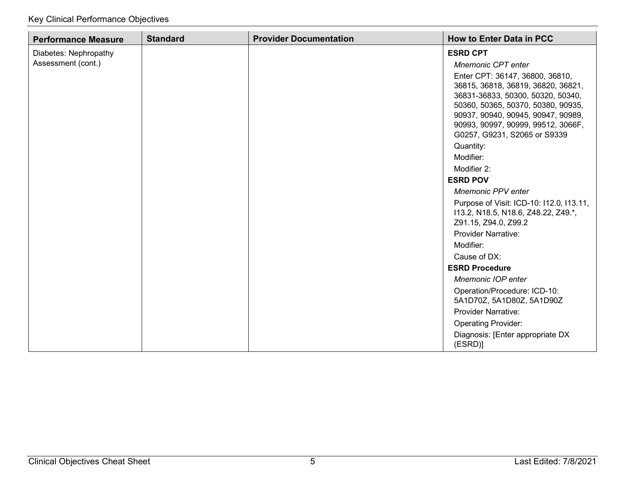| <b>Performance Measure</b> | <b>Standard</b> | <b>Provider Documentation</b> | <b>How to Enter Data in PCC</b>                                          |
|----------------------------|-----------------|-------------------------------|--------------------------------------------------------------------------|
| Diabetes: Nephropathy      |                 |                               | <b>ESRD CPT</b>                                                          |
| Assessment (cont.)         |                 |                               | Mnemonic CPT enter                                                       |
|                            |                 |                               | Enter CPT: 36147, 36800, 36810,                                          |
|                            |                 |                               | 36815, 36818, 36819, 36820, 36821,                                       |
|                            |                 |                               | 36831-36833, 50300, 50320, 50340,                                        |
|                            |                 |                               | 50360, 50365, 50370, 50380, 90935,<br>90937, 90940, 90945, 90947, 90989, |
|                            |                 |                               | 90993, 90997, 90999, 99512, 3066F,                                       |
|                            |                 |                               | G0257, G9231, S2065 or S9339                                             |
|                            |                 |                               | Quantity:                                                                |
|                            |                 |                               | Modifier:                                                                |
|                            |                 |                               | Modifier 2:                                                              |
|                            |                 |                               | <b>ESRD POV</b>                                                          |
|                            |                 |                               | <b>Mnemonic PPV enter</b>                                                |
|                            |                 |                               | Purpose of Visit: ICD-10: I12.0, I13.11,                                 |
|                            |                 |                               | 113.2, N18.5, N18.6, Z48.22, Z49.*,                                      |
|                            |                 |                               | Z91.15, Z94.0, Z99.2                                                     |
|                            |                 |                               | <b>Provider Narrative:</b>                                               |
|                            |                 |                               | Modifier:                                                                |
|                            |                 |                               | Cause of DX:<br><b>ESRD Procedure</b>                                    |
|                            |                 |                               | Mnemonic IOP enter                                                       |
|                            |                 |                               | Operation/Procedure: ICD-10:                                             |
|                            |                 |                               | 5A1D70Z, 5A1D80Z, 5A1D90Z                                                |
|                            |                 |                               | <b>Provider Narrative:</b>                                               |
|                            |                 |                               | <b>Operating Provider:</b>                                               |
|                            |                 |                               | Diagnosis: [Enter appropriate DX<br>(ESRD)]                              |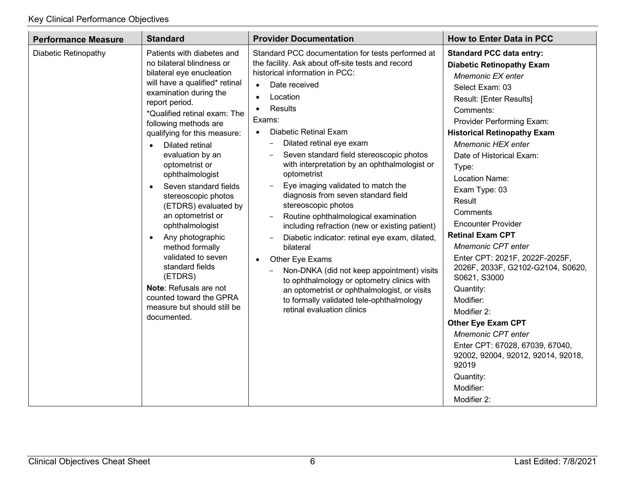| <b>Performance Measure</b> | <b>Standard</b>                                                                                                                                                                                                                                                                                                                                                                                                                                                                                                                                                                                                                                                                                     | <b>Provider Documentation</b>                                                                                                                                                                                                                                                                                                                                                                                                                                                                                                                                                                                                                                                                                                                                                                                                                                                                                             | <b>How to Enter Data in PCC</b>                                                                                                                                                                                                                                                                                                                                                                                                                                                                                                                                                                                                                                                                                                                      |
|----------------------------|-----------------------------------------------------------------------------------------------------------------------------------------------------------------------------------------------------------------------------------------------------------------------------------------------------------------------------------------------------------------------------------------------------------------------------------------------------------------------------------------------------------------------------------------------------------------------------------------------------------------------------------------------------------------------------------------------------|---------------------------------------------------------------------------------------------------------------------------------------------------------------------------------------------------------------------------------------------------------------------------------------------------------------------------------------------------------------------------------------------------------------------------------------------------------------------------------------------------------------------------------------------------------------------------------------------------------------------------------------------------------------------------------------------------------------------------------------------------------------------------------------------------------------------------------------------------------------------------------------------------------------------------|------------------------------------------------------------------------------------------------------------------------------------------------------------------------------------------------------------------------------------------------------------------------------------------------------------------------------------------------------------------------------------------------------------------------------------------------------------------------------------------------------------------------------------------------------------------------------------------------------------------------------------------------------------------------------------------------------------------------------------------------------|
| Diabetic Retinopathy       | Patients with diabetes and<br>no bilateral blindness or<br>bilateral eye enucleation<br>will have a qualified* retinal<br>examination during the<br>report period.<br>*Qualified retinal exam: The<br>following methods are<br>qualifying for this measure:<br><b>Dilated retinal</b><br>$\bullet$<br>evaluation by an<br>optometrist or<br>ophthalmologist<br>Seven standard fields<br>$\bullet$<br>stereoscopic photos<br>(ETDRS) evaluated by<br>an optometrist or<br>ophthalmologist<br>Any photographic<br>$\bullet$<br>method formally<br>validated to seven<br>standard fields<br>(ETDRS)<br>Note: Refusals are not<br>counted toward the GPRA<br>measure but should still be<br>documented. | Standard PCC documentation for tests performed at<br>the facility. Ask about off-site tests and record<br>historical information in PCC:<br>Date received<br>$\bullet$<br>Location<br>$\bullet$<br>Results<br>Exams:<br>Diabetic Retinal Exam<br>$\bullet$<br>Dilated retinal eye exam<br>-<br>Seven standard field stereoscopic photos<br>with interpretation by an ophthalmologist or<br>optometrist<br>Eye imaging validated to match the<br>diagnosis from seven standard field<br>stereoscopic photos<br>Routine ophthalmological examination<br>including refraction (new or existing patient)<br>Diabetic indicator: retinal eye exam, dilated,<br>bilateral<br>Other Eye Exams<br>$\bullet$<br>Non-DNKA (did not keep appointment) visits<br>to ophthalmology or optometry clinics with<br>an optometrist or ophthalmologist, or visits<br>to formally validated tele-ophthalmology<br>retinal evaluation clinics | <b>Standard PCC data entry:</b><br><b>Diabetic Retinopathy Exam</b><br>Mnemonic EX enter<br>Select Exam: 03<br>Result: [Enter Results]<br>Comments:<br>Provider Performing Exam:<br><b>Historical Retinopathy Exam</b><br>Mnemonic HEX enter<br>Date of Historical Exam:<br>Type:<br>Location Name:<br>Exam Type: 03<br>Result<br>Comments<br><b>Encounter Provider</b><br><b>Retinal Exam CPT</b><br><b>Mnemonic CPT enter</b><br>Enter CPT: 2021F, 2022F-2025F,<br>2026F, 2033F, G2102-G2104, S0620,<br>S0621, S3000<br>Quantity:<br>Modifier:<br>Modifier 2:<br><b>Other Eye Exam CPT</b><br><b>Mnemonic CPT enter</b><br>Enter CPT: 67028, 67039, 67040,<br>92002, 92004, 92012, 92014, 92018,<br>92019<br>Quantity:<br>Modifier:<br>Modifier 2: |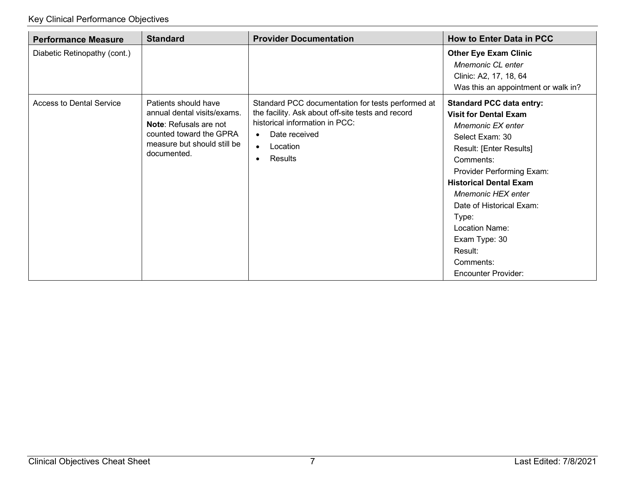| <b>Performance Measure</b>      | <b>Standard</b>                                                                                                                                               | <b>Provider Documentation</b>                                                                                                                                                                              | <b>How to Enter Data in PCC</b>                                                                                                                                                                                                                                                                                                                                                 |
|---------------------------------|---------------------------------------------------------------------------------------------------------------------------------------------------------------|------------------------------------------------------------------------------------------------------------------------------------------------------------------------------------------------------------|---------------------------------------------------------------------------------------------------------------------------------------------------------------------------------------------------------------------------------------------------------------------------------------------------------------------------------------------------------------------------------|
| Diabetic Retinopathy (cont.)    |                                                                                                                                                               |                                                                                                                                                                                                            | <b>Other Eye Exam Clinic</b><br>Mnemonic CL enter<br>Clinic: A2, 17, 18, 64<br>Was this an appointment or walk in?                                                                                                                                                                                                                                                              |
| <b>Access to Dental Service</b> | Patients should have<br>annual dental visits/exams.<br><b>Note:</b> Refusals are not<br>counted toward the GPRA<br>measure but should still be<br>documented. | Standard PCC documentation for tests performed at<br>the facility. Ask about off-site tests and record<br>historical information in PCC:<br>Date received<br>$\bullet$<br>Location<br>$\bullet$<br>Results | <b>Standard PCC data entry:</b><br><b>Visit for Dental Exam</b><br>Mnemonic EX enter<br>Select Exam: 30<br>Result: [Enter Results]<br>Comments:<br><b>Provider Performing Exam:</b><br><b>Historical Dental Exam</b><br><b>Mnemonic HEX enter</b><br>Date of Historical Exam:<br>Type:<br>Location Name:<br>Exam Type: 30<br>Result:<br>Comments:<br><b>Encounter Provider:</b> |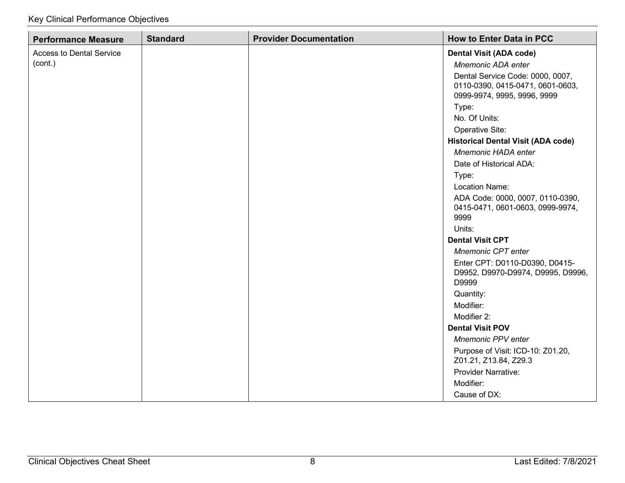| <b>Performance Measure</b>                 | <b>Standard</b> | <b>Provider Documentation</b> | <b>How to Enter Data in PCC</b>                                                                                              |
|--------------------------------------------|-----------------|-------------------------------|------------------------------------------------------------------------------------------------------------------------------|
| <b>Access to Dental Service</b><br>(cont.) |                 |                               | <b>Dental Visit (ADA code)</b><br>Mnemonic ADA enter<br>Dental Service Code: 0000, 0007,<br>0110-0390, 0415-0471, 0601-0603, |
|                                            |                 |                               | 0999-9974, 9995, 9996, 9999                                                                                                  |
|                                            |                 |                               | Type:<br>No. Of Units:                                                                                                       |
|                                            |                 |                               | Operative Site:                                                                                                              |
|                                            |                 |                               | <b>Historical Dental Visit (ADA code)</b>                                                                                    |
|                                            |                 |                               | Mnemonic HADA enter                                                                                                          |
|                                            |                 |                               | Date of Historical ADA:                                                                                                      |
|                                            |                 |                               | Type:                                                                                                                        |
|                                            |                 |                               | Location Name:                                                                                                               |
|                                            |                 |                               | ADA Code: 0000, 0007, 0110-0390,<br>0415-0471, 0601-0603, 0999-9974,<br>9999                                                 |
|                                            |                 |                               | Units:                                                                                                                       |
|                                            |                 |                               | <b>Dental Visit CPT</b>                                                                                                      |
|                                            |                 |                               | Mnemonic CPT enter                                                                                                           |
|                                            |                 |                               | Enter CPT: D0110-D0390, D0415-<br>D9952, D9970-D9974, D9995, D9996,<br>D9999                                                 |
|                                            |                 |                               | Quantity:                                                                                                                    |
|                                            |                 |                               | Modifier:                                                                                                                    |
|                                            |                 |                               | Modifier 2:                                                                                                                  |
|                                            |                 |                               | <b>Dental Visit POV</b>                                                                                                      |
|                                            |                 |                               | <b>Mnemonic PPV enter</b>                                                                                                    |
|                                            |                 |                               | Purpose of Visit: ICD-10: Z01.20,<br>Z01.21, Z13.84, Z29.3                                                                   |
|                                            |                 |                               | <b>Provider Narrative:</b>                                                                                                   |
|                                            |                 |                               | Modifier:                                                                                                                    |
|                                            |                 |                               | Cause of DX:                                                                                                                 |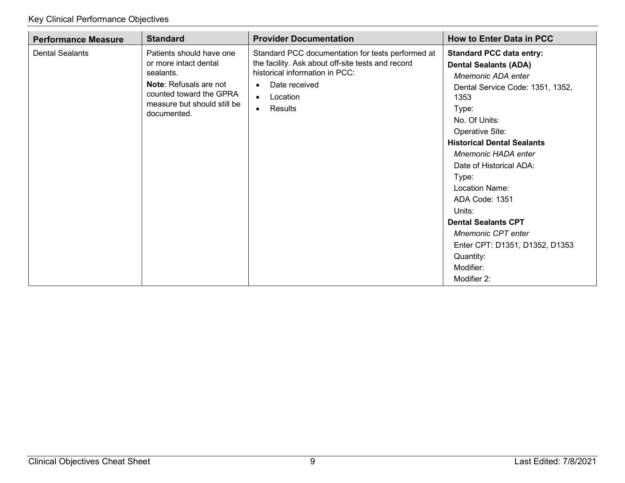| <b>Performance Measure</b> | <b>Standard</b>                                                                                                                                                          | <b>Provider Documentation</b>                                                                                                                                                                                           | <b>How to Enter Data in PCC</b>                                                                                                                                                                                                                                                                                                                                                                                                                                    |
|----------------------------|--------------------------------------------------------------------------------------------------------------------------------------------------------------------------|-------------------------------------------------------------------------------------------------------------------------------------------------------------------------------------------------------------------------|--------------------------------------------------------------------------------------------------------------------------------------------------------------------------------------------------------------------------------------------------------------------------------------------------------------------------------------------------------------------------------------------------------------------------------------------------------------------|
| <b>Dental Sealants</b>     | Patients should have one<br>or more intact dental<br>sealants.<br><b>Note:</b> Refusals are not<br>counted toward the GPRA<br>measure but should still be<br>documented. | Standard PCC documentation for tests performed at<br>the facility. Ask about off-site tests and record<br>historical information in PCC:<br>Date received<br>$\bullet$<br>Location<br>$\bullet$<br>Results<br>$\bullet$ | <b>Standard PCC data entry:</b><br><b>Dental Sealants (ADA)</b><br>Mnemonic ADA enter<br>Dental Service Code: 1351, 1352,<br>1353<br>Type:<br>No. Of Units:<br>Operative Site:<br><b>Historical Dental Sealants</b><br>Mnemonic HADA enter<br>Date of Historical ADA:<br>Type:<br>Location Name:<br>ADA Code: 1351<br>Units:<br><b>Dental Sealants CPT</b><br><b>Mnemonic CPT enter</b><br>Enter CPT: D1351, D1352, D1353<br>Quantity:<br>Modifier:<br>Modifier 2: |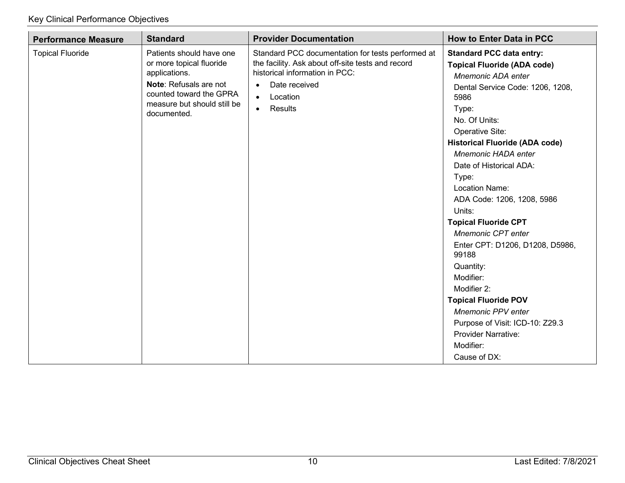| <b>Performance Measure</b> | <b>Standard</b>                                                                                                                                                          | <b>Provider Documentation</b>                                                                                                                                                                                           | <b>How to Enter Data in PCC</b>                                                                                                                                                                                                                                                                                                                                                                                                                                                                                                                                                                                                                               |
|----------------------------|--------------------------------------------------------------------------------------------------------------------------------------------------------------------------|-------------------------------------------------------------------------------------------------------------------------------------------------------------------------------------------------------------------------|---------------------------------------------------------------------------------------------------------------------------------------------------------------------------------------------------------------------------------------------------------------------------------------------------------------------------------------------------------------------------------------------------------------------------------------------------------------------------------------------------------------------------------------------------------------------------------------------------------------------------------------------------------------|
| <b>Topical Fluoride</b>    | Patients should have one<br>or more topical fluoride<br>applications.<br>Note: Refusals are not<br>counted toward the GPRA<br>measure but should still be<br>documented. | Standard PCC documentation for tests performed at<br>the facility. Ask about off-site tests and record<br>historical information in PCC:<br>Date received<br>$\bullet$<br>Location<br>$\bullet$<br>Results<br>$\bullet$ | <b>Standard PCC data entry:</b><br><b>Topical Fluoride (ADA code)</b><br>Mnemonic ADA enter<br>Dental Service Code: 1206, 1208,<br>5986<br>Type:<br>No. Of Units:<br>Operative Site:<br><b>Historical Fluoride (ADA code)</b><br>Mnemonic HADA enter<br>Date of Historical ADA:<br>Type:<br><b>Location Name:</b><br>ADA Code: 1206, 1208, 5986<br>Units:<br><b>Topical Fluoride CPT</b><br>Mnemonic CPT enter<br>Enter CPT: D1206, D1208, D5986,<br>99188<br>Quantity:<br>Modifier:<br>Modifier 2:<br><b>Topical Fluoride POV</b><br><b>Mnemonic PPV enter</b><br>Purpose of Visit: ICD-10: Z29.3<br><b>Provider Narrative:</b><br>Modifier:<br>Cause of DX: |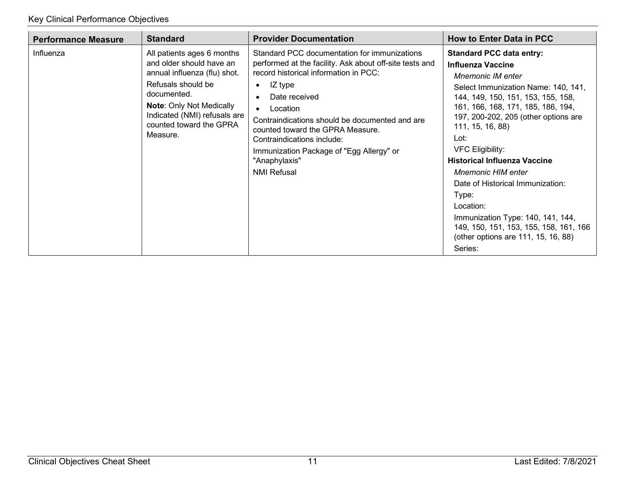| <b>Performance Measure</b> | <b>Standard</b>                                                                                                                                                                                                                       | <b>Provider Documentation</b>                                                                                                                                                                                                                                                                                                                                                                                | <b>How to Enter Data in PCC</b>                                                                                                                                                                                                                                                                                                                                                                                                                                                                                                                                          |
|----------------------------|---------------------------------------------------------------------------------------------------------------------------------------------------------------------------------------------------------------------------------------|--------------------------------------------------------------------------------------------------------------------------------------------------------------------------------------------------------------------------------------------------------------------------------------------------------------------------------------------------------------------------------------------------------------|--------------------------------------------------------------------------------------------------------------------------------------------------------------------------------------------------------------------------------------------------------------------------------------------------------------------------------------------------------------------------------------------------------------------------------------------------------------------------------------------------------------------------------------------------------------------------|
| Influenza                  | All patients ages 6 months<br>and older should have an<br>annual influenza (flu) shot.<br>Refusals should be<br>documented.<br><b>Note: Only Not Medically</b><br>Indicated (NMI) refusals are<br>counted toward the GPRA<br>Measure. | Standard PCC documentation for immunizations<br>performed at the facility. Ask about off-site tests and<br>record historical information in PCC:<br>IZ type<br>$\bullet$<br>Date received<br>Location<br>Contraindications should be documented and are<br>counted toward the GPRA Measure.<br>Contraindications include:<br>Immunization Package of "Egg Allergy" or<br>"Anaphylaxis"<br><b>NMI Refusal</b> | <b>Standard PCC data entry:</b><br><b>Influenza Vaccine</b><br><b>Mnemonic IM enter</b><br>Select Immunization Name: 140, 141,<br>144, 149, 150, 151, 153, 155, 158,<br>161, 166, 168, 171, 185, 186, 194,<br>197, 200-202, 205 (other options are<br>111, 15, 16, 88)<br>Lot:<br><b>VFC Eligibility:</b><br><b>Historical Influenza Vaccine</b><br><b>Mnemonic HIM enter</b><br>Date of Historical Immunization:<br>Type:<br>Location:<br>Immunization Type: 140, 141, 144,<br>149, 150, 151, 153, 155, 158, 161, 166<br>(other options are 111, 15, 16, 88)<br>Series: |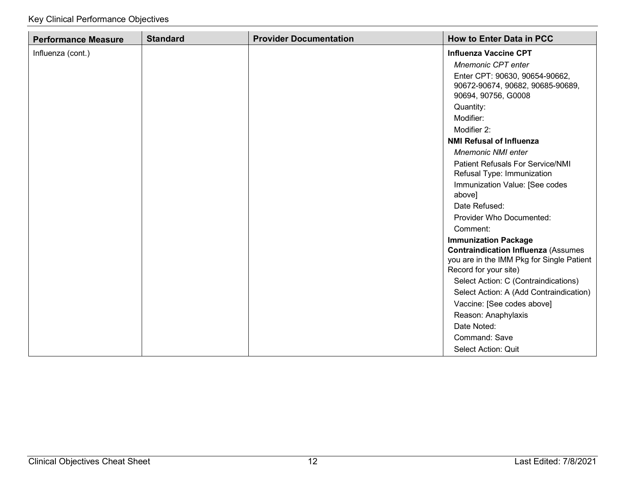| <b>Performance Measure</b> | <b>Standard</b> | <b>Provider Documentation</b> | <b>How to Enter Data in PCC</b>                                    |
|----------------------------|-----------------|-------------------------------|--------------------------------------------------------------------|
| Influenza (cont.)          |                 |                               | <b>Influenza Vaccine CPT</b>                                       |
|                            |                 |                               | Mnemonic CPT enter                                                 |
|                            |                 |                               | Enter CPT: 90630, 90654-90662,                                     |
|                            |                 |                               | 90672-90674, 90682, 90685-90689,                                   |
|                            |                 |                               | 90694, 90756, G0008                                                |
|                            |                 |                               | Quantity:                                                          |
|                            |                 |                               | Modifier:                                                          |
|                            |                 |                               | Modifier 2:                                                        |
|                            |                 |                               | <b>NMI Refusal of Influenza</b>                                    |
|                            |                 |                               | <b>Mnemonic NMI enter</b>                                          |
|                            |                 |                               | <b>Patient Refusals For Service/NMI</b>                            |
|                            |                 |                               | Refusal Type: Immunization                                         |
|                            |                 |                               | Immunization Value: [See codes                                     |
|                            |                 |                               | above]                                                             |
|                            |                 |                               | Date Refused:                                                      |
|                            |                 |                               | Provider Who Documented:                                           |
|                            |                 |                               | Comment:                                                           |
|                            |                 |                               | <b>Immunization Package</b>                                        |
|                            |                 |                               | <b>Contraindication Influenza (Assumes</b>                         |
|                            |                 |                               | you are in the IMM Pkg for Single Patient<br>Record for your site) |
|                            |                 |                               | Select Action: C (Contraindications)                               |
|                            |                 |                               | Select Action: A (Add Contraindication)                            |
|                            |                 |                               | Vaccine: [See codes above]                                         |
|                            |                 |                               | Reason: Anaphylaxis                                                |
|                            |                 |                               | Date Noted:                                                        |
|                            |                 |                               | Command: Save                                                      |
|                            |                 |                               | Select Action: Quit                                                |
|                            |                 |                               |                                                                    |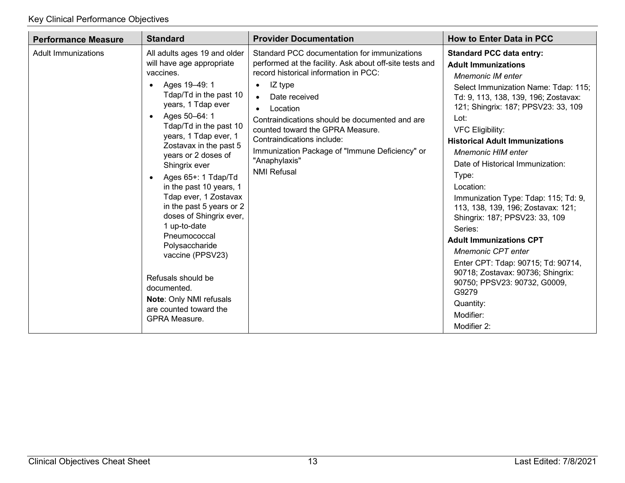| <b>Performance Measure</b> | <b>Standard</b>                                                                                                                                                                                                                                                                                                                                                                                                                                                                                                                                                                                                                                | <b>Provider Documentation</b>                                                                                                                                                                                                                                                                                                                                                                                                                | <b>How to Enter Data in PCC</b>                                                                                                                                                                                                                                                                                                                                                                                                                                                                                                                                                                                                                                                                                                            |
|----------------------------|------------------------------------------------------------------------------------------------------------------------------------------------------------------------------------------------------------------------------------------------------------------------------------------------------------------------------------------------------------------------------------------------------------------------------------------------------------------------------------------------------------------------------------------------------------------------------------------------------------------------------------------------|----------------------------------------------------------------------------------------------------------------------------------------------------------------------------------------------------------------------------------------------------------------------------------------------------------------------------------------------------------------------------------------------------------------------------------------------|--------------------------------------------------------------------------------------------------------------------------------------------------------------------------------------------------------------------------------------------------------------------------------------------------------------------------------------------------------------------------------------------------------------------------------------------------------------------------------------------------------------------------------------------------------------------------------------------------------------------------------------------------------------------------------------------------------------------------------------------|
| Adult Immunizations        | All adults ages 19 and older<br>will have age appropriate<br>vaccines.<br>Ages 19-49: 1<br>$\bullet$<br>Tdap/Td in the past 10<br>years, 1 Tdap ever<br>Ages 50-64: 1<br>$\bullet$<br>Tdap/Td in the past 10<br>years, 1 Tdap ever, 1<br>Zostavax in the past 5<br>years or 2 doses of<br>Shingrix ever<br>Ages 65+: 1 Tdap/Td<br>$\bullet$<br>in the past 10 years, 1<br>Tdap ever, 1 Zostavax<br>in the past 5 years or 2<br>doses of Shingrix ever,<br>1 up-to-date<br>Pneumococcal<br>Polysaccharide<br>vaccine (PPSV23)<br>Refusals should be<br>documented.<br>Note: Only NMI refusals<br>are counted toward the<br><b>GPRA Measure.</b> | Standard PCC documentation for immunizations<br>performed at the facility. Ask about off-site tests and<br>record historical information in PCC:<br>IZ type<br>$\bullet$<br>Date received<br>$\bullet$<br>Location<br>$\bullet$<br>Contraindications should be documented and are<br>counted toward the GPRA Measure.<br>Contraindications include:<br>Immunization Package of "Immune Deficiency" or<br>"Anaphylaxis"<br><b>NMI Refusal</b> | <b>Standard PCC data entry:</b><br><b>Adult Immunizations</b><br><b>Mnemonic IM enter</b><br>Select Immunization Name: Tdap: 115;<br>Td: 9, 113, 138, 139, 196; Zostavax:<br>121; Shingrix: 187; PPSV23: 33, 109<br>Lot:<br><b>VFC Eligibility:</b><br><b>Historical Adult Immunizations</b><br><b>Mnemonic HIM enter</b><br>Date of Historical Immunization:<br>Type:<br>Location:<br>Immunization Type: Tdap: 115; Td: 9,<br>113, 138, 139, 196; Zostavax: 121;<br>Shingrix: 187; PPSV23: 33, 109<br>Series:<br><b>Adult Immunizations CPT</b><br><b>Mnemonic CPT enter</b><br>Enter CPT: Tdap: 90715; Td: 90714,<br>90718; Zostavax: 90736; Shingrix:<br>90750; PPSV23: 90732, G0009,<br>G9279<br>Quantity:<br>Modifier:<br>Modifier 2: |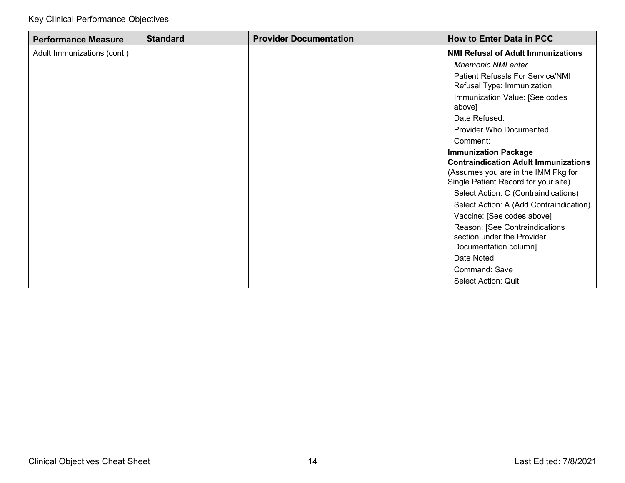| <b>Performance Measure</b>  | <b>Standard</b> | <b>Provider Documentation</b> | <b>How to Enter Data in PCC</b>                                                                                                                                                                                                              |
|-----------------------------|-----------------|-------------------------------|----------------------------------------------------------------------------------------------------------------------------------------------------------------------------------------------------------------------------------------------|
| Adult Immunizations (cont.) |                 |                               | <b>NMI Refusal of Adult Immunizations</b>                                                                                                                                                                                                    |
|                             |                 |                               | <b>Mnemonic NMI enter</b>                                                                                                                                                                                                                    |
|                             |                 |                               | <b>Patient Refusals For Service/NMI</b><br>Refusal Type: Immunization                                                                                                                                                                        |
|                             |                 |                               | Immunization Value: [See codes<br>above]                                                                                                                                                                                                     |
|                             |                 |                               | Date Refused:                                                                                                                                                                                                                                |
|                             |                 |                               | <b>Provider Who Documented:</b>                                                                                                                                                                                                              |
|                             |                 |                               | Comment:                                                                                                                                                                                                                                     |
|                             |                 |                               | <b>Immunization Package</b><br><b>Contraindication Adult Immunizations</b><br>(Assumes you are in the IMM Pkg for<br>Single Patient Record for your site)<br>Select Action: C (Contraindications)<br>Select Action: A (Add Contraindication) |
|                             |                 |                               | Vaccine: [See codes above]<br>Reason: [See Contraindications<br>section under the Provider<br>Documentation column]<br>Date Noted:<br>Command: Save                                                                                          |
|                             |                 |                               | Select Action: Quit                                                                                                                                                                                                                          |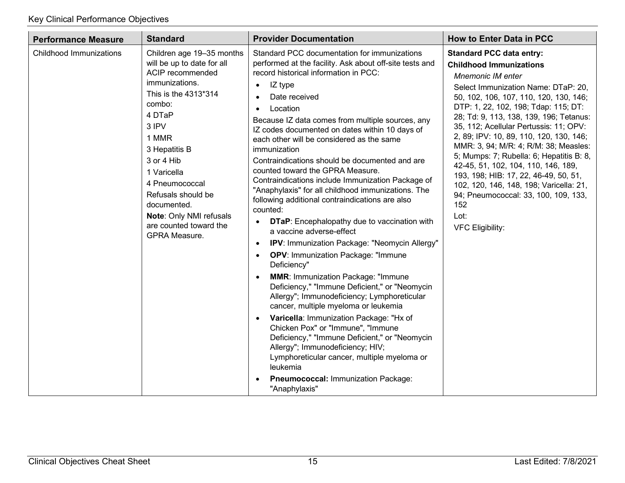| <b>Performance Measure</b> | <b>Standard</b>                                                                                                                                                                                                                                                                                                                        | <b>Provider Documentation</b>                                                                                                                                                                                                                                                                                                                                                                                                                                                                                                                                                                                                                                                                                                                                                                                                                                                                                                                                                                                                                                                                                                                                                                                                                                                                                                                                                                                    | <b>How to Enter Data in PCC</b>                                                                                                                                                                                                                                                                                                                                                                                                                                                                                                                                                                                                                          |
|----------------------------|----------------------------------------------------------------------------------------------------------------------------------------------------------------------------------------------------------------------------------------------------------------------------------------------------------------------------------------|------------------------------------------------------------------------------------------------------------------------------------------------------------------------------------------------------------------------------------------------------------------------------------------------------------------------------------------------------------------------------------------------------------------------------------------------------------------------------------------------------------------------------------------------------------------------------------------------------------------------------------------------------------------------------------------------------------------------------------------------------------------------------------------------------------------------------------------------------------------------------------------------------------------------------------------------------------------------------------------------------------------------------------------------------------------------------------------------------------------------------------------------------------------------------------------------------------------------------------------------------------------------------------------------------------------------------------------------------------------------------------------------------------------|----------------------------------------------------------------------------------------------------------------------------------------------------------------------------------------------------------------------------------------------------------------------------------------------------------------------------------------------------------------------------------------------------------------------------------------------------------------------------------------------------------------------------------------------------------------------------------------------------------------------------------------------------------|
| Childhood Immunizations    | Children age 19-35 months<br>will be up to date for all<br>ACIP recommended<br>immunizations.<br>This is the 4313*314<br>combo:<br>4 DTaP<br>3 IPV<br>1 MMR<br>3 Hepatitis B<br>3 or 4 Hib<br>1 Varicella<br>4 Pneumococcal<br>Refusals should be<br>documented.<br>Note: Only NMI refusals<br>are counted toward the<br>GPRA Measure. | Standard PCC documentation for immunizations<br>performed at the facility. Ask about off-site tests and<br>record historical information in PCC:<br>IZ type<br>$\bullet$<br>Date received<br>$\bullet$<br>Location<br>$\bullet$<br>Because IZ data comes from multiple sources, any<br>IZ codes documented on dates within 10 days of<br>each other will be considered as the same<br>immunization<br>Contraindications should be documented and are<br>counted toward the GPRA Measure.<br>Contraindications include Immunization Package of<br>"Anaphylaxis" for all childhood immunizations. The<br>following additional contraindications are also<br>counted:<br><b>DTaP:</b> Encephalopathy due to vaccination with<br>$\bullet$<br>a vaccine adverse-effect<br>IPV: Immunization Package: "Neomycin Allergy"<br>$\bullet$<br><b>OPV: Immunization Package: "Immune</b><br>$\bullet$<br>Deficiency"<br><b>MMR: Immunization Package: "Immune</b><br>$\bullet$<br>Deficiency," "Immune Deficient," or "Neomycin<br>Allergy"; Immunodeficiency; Lymphoreticular<br>cancer, multiple myeloma or leukemia<br>Varicella: Immunization Package: "Hx of<br>$\bullet$<br>Chicken Pox" or "Immune", "Immune<br>Deficiency," "Immune Deficient," or "Neomycin<br>Allergy"; Immunodeficiency; HIV;<br>Lymphoreticular cancer, multiple myeloma or<br>leukemia<br>Pneumococcal: Immunization Package:<br>"Anaphylaxis" | <b>Standard PCC data entry:</b><br><b>Childhood Immunizations</b><br><b>Mnemonic IM enter</b><br>Select Immunization Name: DTaP: 20,<br>50, 102, 106, 107, 110, 120, 130, 146;<br>DTP: 1, 22, 102, 198; Tdap: 115; DT:<br>28; Td: 9, 113, 138, 139, 196; Tetanus:<br>35, 112; Acellular Pertussis: 11; OPV:<br>2, 89; IPV: 10, 89, 110, 120, 130, 146;<br>MMR: 3, 94; M/R: 4; R/M: 38; Measles:<br>5; Mumps: 7; Rubella: 6; Hepatitis B: 8,<br>42-45, 51, 102, 104, 110, 146, 189,<br>193, 198; HIB: 17, 22, 46-49, 50, 51,<br>102, 120, 146, 148, 198; Varicella: 21,<br>94; Pneumococcal: 33, 100, 109, 133,<br>152<br>Lot:<br><b>VFC Eligibility:</b> |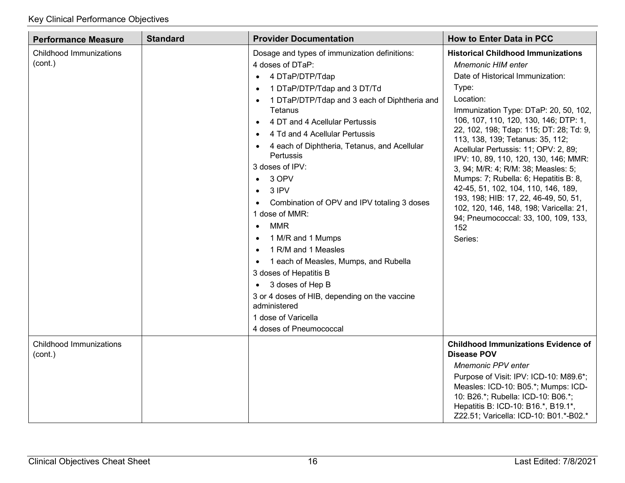| <b>Performance Measure</b>                | <b>Standard</b> | <b>Provider Documentation</b>                                                                                                                                                                                                                                                                                                                                                                                                                                                                                                                                                                                                                                                                                                                                                                                    | <b>How to Enter Data in PCC</b>                                                                                                                                                                                                                                                                                                                                                                                                                                                                                                                                                                                                                         |
|-------------------------------------------|-----------------|------------------------------------------------------------------------------------------------------------------------------------------------------------------------------------------------------------------------------------------------------------------------------------------------------------------------------------------------------------------------------------------------------------------------------------------------------------------------------------------------------------------------------------------------------------------------------------------------------------------------------------------------------------------------------------------------------------------------------------------------------------------------------------------------------------------|---------------------------------------------------------------------------------------------------------------------------------------------------------------------------------------------------------------------------------------------------------------------------------------------------------------------------------------------------------------------------------------------------------------------------------------------------------------------------------------------------------------------------------------------------------------------------------------------------------------------------------------------------------|
| Childhood Immunizations<br>(cont.)        |                 | Dosage and types of immunization definitions:<br>4 doses of DTaP:<br>4 DTaP/DTP/Tdap<br>$\bullet$<br>1 DTaP/DTP/Tdap and 3 DT/Td<br>$\bullet$<br>1 DTaP/DTP/Tdap and 3 each of Diphtheria and<br>$\bullet$<br>Tetanus<br>4 DT and 4 Acellular Pertussis<br>$\bullet$<br>4 Td and 4 Acellular Pertussis<br>4 each of Diphtheria, Tetanus, and Acellular<br>Pertussis<br>3 doses of IPV:<br>3 OPV<br>$\bullet$<br>3 IPV<br>$\bullet$<br>Combination of OPV and IPV totaling 3 doses<br>1 dose of MMR:<br><b>MMR</b><br>$\bullet$<br>1 M/R and 1 Mumps<br>$\bullet$<br>1 R/M and 1 Measles<br>1 each of Measles, Mumps, and Rubella<br>$\bullet$<br>3 doses of Hepatitis B<br>• 3 doses of Hep B<br>3 or 4 doses of HIB, depending on the vaccine<br>administered<br>1 dose of Varicella<br>4 doses of Pneumococcal | <b>Historical Childhood Immunizations</b><br><b>Mnemonic HIM enter</b><br>Date of Historical Immunization:<br>Type:<br>Location:<br>Immunization Type: DTaP: 20, 50, 102,<br>106, 107, 110, 120, 130, 146; DTP: 1,<br>22, 102, 198; Tdap: 115; DT: 28; Td: 9,<br>113, 138, 139; Tetanus: 35, 112;<br>Acellular Pertussis: 11; OPV: 2, 89;<br>IPV: 10, 89, 110, 120, 130, 146; MMR:<br>3, 94; M/R: 4; R/M: 38; Measles: 5;<br>Mumps: 7; Rubella: 6; Hepatitis B: 8,<br>42-45, 51, 102, 104, 110, 146, 189,<br>193, 198; HIB: 17, 22, 46-49, 50, 51,<br>102, 120, 146, 148, 198; Varicella: 21,<br>94; Pneumococcal: 33, 100, 109, 133,<br>152<br>Series: |
| <b>Childhood Immunizations</b><br>(cont.) |                 |                                                                                                                                                                                                                                                                                                                                                                                                                                                                                                                                                                                                                                                                                                                                                                                                                  | <b>Childhood Immunizations Evidence of</b><br><b>Disease POV</b><br><b>Mnemonic PPV enter</b><br>Purpose of Visit: IPV: ICD-10: M89.6*;<br>Measles: ICD-10: B05.*; Mumps: ICD-<br>10: B26.*; Rubella: ICD-10: B06.*;<br>Hepatitis B: ICD-10: B16.*, B19.1*,<br>Z22.51; Varicella: ICD-10: B01.*-B02.*                                                                                                                                                                                                                                                                                                                                                   |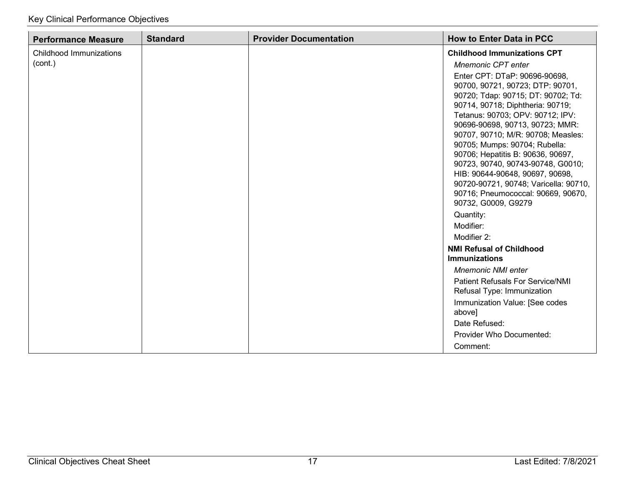| <b>Performance Measure</b> | <b>Standard</b> | <b>Provider Documentation</b> | <b>How to Enter Data in PCC</b>                                       |
|----------------------------|-----------------|-------------------------------|-----------------------------------------------------------------------|
| Childhood Immunizations    |                 |                               | <b>Childhood Immunizations CPT</b>                                    |
| (cont.)                    |                 |                               | Mnemonic CPT enter                                                    |
|                            |                 |                               | Enter CPT: DTaP: 90696-90698,                                         |
|                            |                 |                               | 90700, 90721, 90723; DTP: 90701,                                      |
|                            |                 |                               | 90720; Tdap: 90715; DT: 90702; Td:                                    |
|                            |                 |                               | 90714, 90718; Diphtheria: 90719;                                      |
|                            |                 |                               | Tetanus: 90703; OPV: 90712; IPV:<br>90696-90698, 90713, 90723; MMR:   |
|                            |                 |                               | 90707, 90710; M/R: 90708; Measles:                                    |
|                            |                 |                               | 90705; Mumps: 90704; Rubella:                                         |
|                            |                 |                               | 90706; Hepatitis B: 90636, 90697,                                     |
|                            |                 |                               | 90723, 90740, 90743-90748, G0010;                                     |
|                            |                 |                               | HIB: 90644-90648, 90697, 90698,                                       |
|                            |                 |                               | 90720-90721, 90748; Varicella: 90710,                                 |
|                            |                 |                               | 90716; Pneumococcal: 90669, 90670,<br>90732, G0009, G9279             |
|                            |                 |                               | Quantity:                                                             |
|                            |                 |                               | Modifier:                                                             |
|                            |                 |                               | Modifier 2:                                                           |
|                            |                 |                               | <b>NMI Refusal of Childhood</b>                                       |
|                            |                 |                               | <b>Immunizations</b>                                                  |
|                            |                 |                               | <b>Mnemonic NMI enter</b>                                             |
|                            |                 |                               | <b>Patient Refusals For Service/NMI</b><br>Refusal Type: Immunization |
|                            |                 |                               | Immunization Value: [See codes<br>above]                              |
|                            |                 |                               | Date Refused:                                                         |
|                            |                 |                               | <b>Provider Who Documented:</b>                                       |
|                            |                 |                               | Comment:                                                              |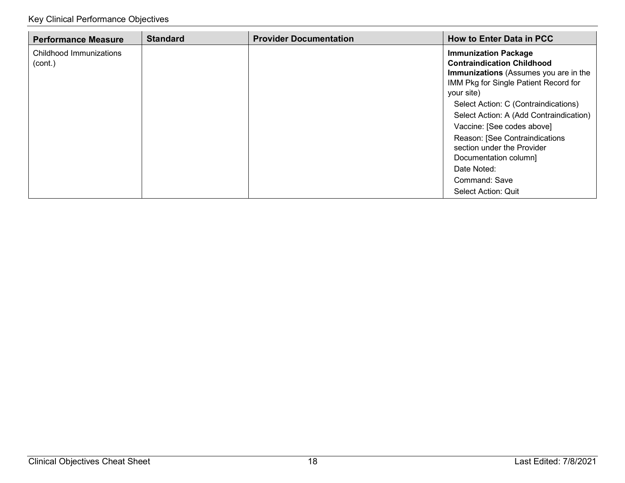| <b>Performance Measure</b>         | <b>Standard</b> | <b>Provider Documentation</b> | <b>How to Enter Data in PCC</b>                                                                                                                                                                                                                                                                                                                                                                                                   |
|------------------------------------|-----------------|-------------------------------|-----------------------------------------------------------------------------------------------------------------------------------------------------------------------------------------------------------------------------------------------------------------------------------------------------------------------------------------------------------------------------------------------------------------------------------|
| Childhood Immunizations<br>(cont.) |                 |                               | <b>Immunization Package</b><br><b>Contraindication Childhood</b><br>Immunizations (Assumes you are in the<br>IMM Pkg for Single Patient Record for<br>your site)<br>Select Action: C (Contraindications)<br>Select Action: A (Add Contraindication)<br>Vaccine: [See codes above]<br>Reason: [See Contraindications<br>section under the Provider<br>Documentation column]<br>Date Noted:<br>Command: Save<br>Select Action: Quit |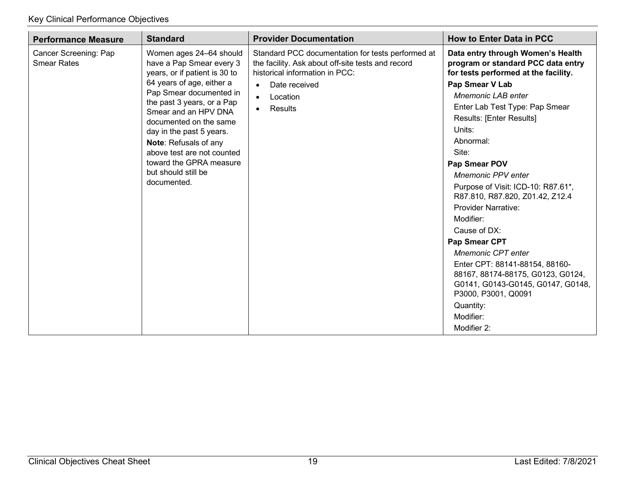| <b>Performance Measure</b>                  | <b>Standard</b>                                                                                                                                                                                                                                                                                                                                                                  | <b>Provider Documentation</b>                                                                                                                                                                                           | <b>How to Enter Data in PCC</b>                                                                                                                                                                                                                                                                                                                                                                                                                                                                                                                                                                                  |
|---------------------------------------------|----------------------------------------------------------------------------------------------------------------------------------------------------------------------------------------------------------------------------------------------------------------------------------------------------------------------------------------------------------------------------------|-------------------------------------------------------------------------------------------------------------------------------------------------------------------------------------------------------------------------|------------------------------------------------------------------------------------------------------------------------------------------------------------------------------------------------------------------------------------------------------------------------------------------------------------------------------------------------------------------------------------------------------------------------------------------------------------------------------------------------------------------------------------------------------------------------------------------------------------------|
| Cancer Screening: Pap<br><b>Smear Rates</b> | Women ages 24-64 should<br>have a Pap Smear every 3<br>years, or if patient is 30 to<br>64 years of age, either a<br>Pap Smear documented in<br>the past 3 years, or a Pap<br>Smear and an HPV DNA<br>documented on the same<br>day in the past 5 years.<br>Note: Refusals of any<br>above test are not counted<br>toward the GPRA measure<br>but should still be<br>documented. | Standard PCC documentation for tests performed at<br>the facility. Ask about off-site tests and record<br>historical information in PCC:<br>Date received<br>$\bullet$<br>Location<br>$\bullet$<br>Results<br>$\bullet$ | Data entry through Women's Health<br>program or standard PCC data entry<br>for tests performed at the facility.<br>Pap Smear V Lab<br><b>Mnemonic LAB enter</b><br>Enter Lab Test Type: Pap Smear<br><b>Results: [Enter Results]</b><br>Units:<br>Abnormal:<br>Site:<br>Pap Smear POV<br><b>Mnemonic PPV enter</b><br>Purpose of Visit: ICD-10: R87.61*,<br>R87.810, R87.820, Z01.42, Z12.4<br><b>Provider Narrative:</b><br>Modifier:<br>Cause of DX:<br>Pap Smear CPT<br><b>Mnemonic CPT enter</b><br>Enter CPT: 88141-88154, 88160-<br>88167, 88174-88175, G0123, G0124,<br>G0141, G0143-G0145, G0147, G0148, |
|                                             |                                                                                                                                                                                                                                                                                                                                                                                  |                                                                                                                                                                                                                         | P3000, P3001, Q0091<br>Quantity:<br>Modifier:<br>Modifier 2:                                                                                                                                                                                                                                                                                                                                                                                                                                                                                                                                                     |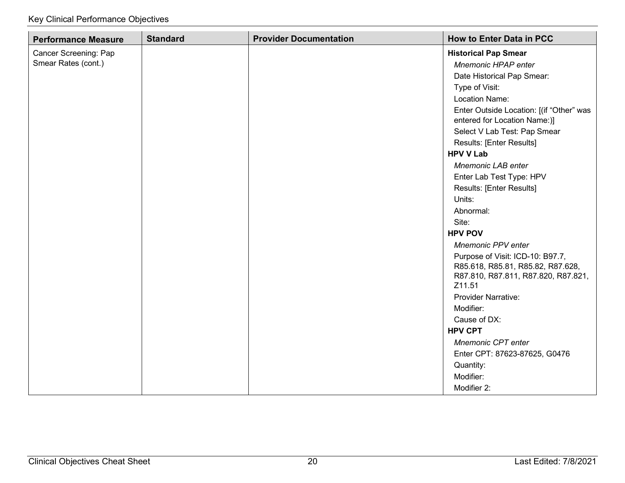| <b>Performance Measure</b> | <b>Standard</b> | <b>Provider Documentation</b> | <b>How to Enter Data in PCC</b>                                                                                        |
|----------------------------|-----------------|-------------------------------|------------------------------------------------------------------------------------------------------------------------|
| Cancer Screening: Pap      |                 |                               | <b>Historical Pap Smear</b>                                                                                            |
| Smear Rates (cont.)        |                 |                               | Mnemonic HPAP enter                                                                                                    |
|                            |                 |                               | Date Historical Pap Smear:                                                                                             |
|                            |                 |                               | Type of Visit:                                                                                                         |
|                            |                 |                               | Location Name:                                                                                                         |
|                            |                 |                               | Enter Outside Location: [(if "Other" was<br>entered for Location Name:)]                                               |
|                            |                 |                               | Select V Lab Test: Pap Smear                                                                                           |
|                            |                 |                               | Results: [Enter Results]                                                                                               |
|                            |                 |                               | <b>HPV V Lab</b>                                                                                                       |
|                            |                 |                               | <b>Mnemonic LAB enter</b>                                                                                              |
|                            |                 |                               | Enter Lab Test Type: HPV                                                                                               |
|                            |                 |                               | Results: [Enter Results]                                                                                               |
|                            |                 |                               | Units:                                                                                                                 |
|                            |                 |                               | Abnormal:                                                                                                              |
|                            |                 |                               | Site:                                                                                                                  |
|                            |                 |                               | <b>HPV POV</b>                                                                                                         |
|                            |                 |                               | <b>Mnemonic PPV enter</b>                                                                                              |
|                            |                 |                               | Purpose of Visit: ICD-10: B97.7,<br>R85.618, R85.81, R85.82, R87.628,<br>R87.810, R87.811, R87.820, R87.821,<br>Z11.51 |
|                            |                 |                               | <b>Provider Narrative:</b>                                                                                             |
|                            |                 |                               | Modifier:                                                                                                              |
|                            |                 |                               | Cause of DX:                                                                                                           |
|                            |                 |                               | <b>HPV CPT</b>                                                                                                         |
|                            |                 |                               | Mnemonic CPT enter                                                                                                     |
|                            |                 |                               | Enter CPT: 87623-87625, G0476                                                                                          |
|                            |                 |                               | Quantity:                                                                                                              |
|                            |                 |                               | Modifier:                                                                                                              |
|                            |                 |                               | Modifier 2:                                                                                                            |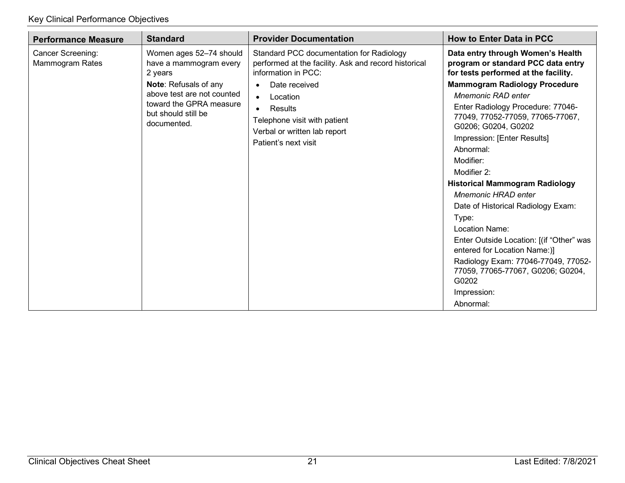| <b>Performance Measure</b>           | <b>Standard</b>                                                                                                                                                                      | <b>Provider Documentation</b>                                                                                                                                                                                                                                                     | <b>How to Enter Data in PCC</b>                                                                                                                                                                                                                                                                                                                                                                                                                                                    |
|--------------------------------------|--------------------------------------------------------------------------------------------------------------------------------------------------------------------------------------|-----------------------------------------------------------------------------------------------------------------------------------------------------------------------------------------------------------------------------------------------------------------------------------|------------------------------------------------------------------------------------------------------------------------------------------------------------------------------------------------------------------------------------------------------------------------------------------------------------------------------------------------------------------------------------------------------------------------------------------------------------------------------------|
| Cancer Screening:<br>Mammogram Rates | Women ages 52-74 should<br>have a mammogram every<br>2 years<br>Note: Refusals of any<br>above test are not counted<br>toward the GPRA measure<br>but should still be<br>documented. | Standard PCC documentation for Radiology<br>performed at the facility. Ask and record historical<br>information in PCC:<br>Date received<br>Location<br>$\bullet$<br>Results<br>$\bullet$<br>Telephone visit with patient<br>Verbal or written lab report<br>Patient's next visit | Data entry through Women's Health<br>program or standard PCC data entry<br>for tests performed at the facility.<br><b>Mammogram Radiology Procedure</b><br><b>Mnemonic RAD enter</b><br>Enter Radiology Procedure: 77046-<br>77049, 77052-77059, 77065-77067,<br>G0206; G0204, G0202<br>Impression: [Enter Results]<br>Abnormal:<br>Modifier:<br>Modifier 2:<br><b>Historical Mammogram Radiology</b><br><b>Mnemonic HRAD enter</b><br>Date of Historical Radiology Exam:<br>Type: |
|                                      |                                                                                                                                                                                      |                                                                                                                                                                                                                                                                                   | Location Name:<br>Enter Outside Location: [(if "Other" was<br>entered for Location Name:)]                                                                                                                                                                                                                                                                                                                                                                                         |
|                                      |                                                                                                                                                                                      |                                                                                                                                                                                                                                                                                   | Radiology Exam: 77046-77049, 77052-<br>77059, 77065-77067, G0206; G0204,<br>G0202                                                                                                                                                                                                                                                                                                                                                                                                  |
|                                      |                                                                                                                                                                                      |                                                                                                                                                                                                                                                                                   | Impression:<br>Abnormal:                                                                                                                                                                                                                                                                                                                                                                                                                                                           |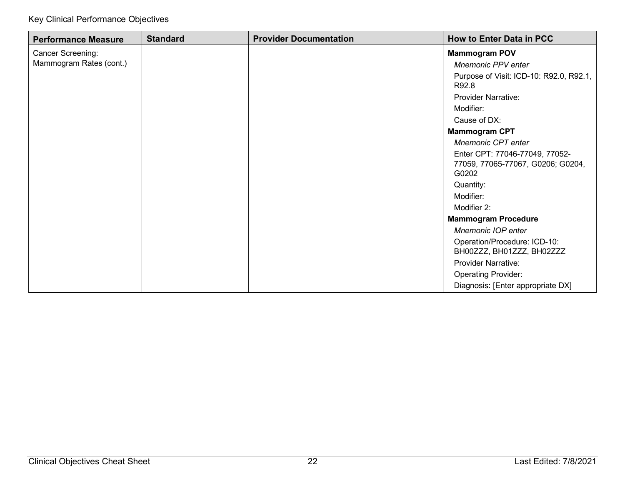| <b>Performance Measure</b> | <b>Standard</b> | <b>Provider Documentation</b> | <b>How to Enter Data in PCC</b>                                              |
|----------------------------|-----------------|-------------------------------|------------------------------------------------------------------------------|
| Cancer Screening:          |                 |                               | <b>Mammogram POV</b>                                                         |
| Mammogram Rates (cont.)    |                 |                               | <b>Mnemonic PPV enter</b>                                                    |
|                            |                 |                               | Purpose of Visit: ICD-10: R92.0, R92.1,<br>R92.8                             |
|                            |                 |                               | <b>Provider Narrative:</b>                                                   |
|                            |                 |                               | Modifier:                                                                    |
|                            |                 |                               | Cause of DX:                                                                 |
|                            |                 |                               | <b>Mammogram CPT</b>                                                         |
|                            |                 |                               | Mnemonic CPT enter                                                           |
|                            |                 |                               | Enter CPT: 77046-77049, 77052-<br>77059, 77065-77067, G0206; G0204,<br>G0202 |
|                            |                 |                               | Quantity:                                                                    |
|                            |                 |                               | Modifier:                                                                    |
|                            |                 |                               | Modifier 2:                                                                  |
|                            |                 |                               | <b>Mammogram Procedure</b>                                                   |
|                            |                 |                               | <b>Mnemonic IOP enter</b>                                                    |
|                            |                 |                               | Operation/Procedure: ICD-10:<br>BH00ZZZ, BH01ZZZ, BH02ZZZ                    |
|                            |                 |                               | <b>Provider Narrative:</b>                                                   |
|                            |                 |                               | <b>Operating Provider:</b>                                                   |
|                            |                 |                               | Diagnosis: [Enter appropriate DX]                                            |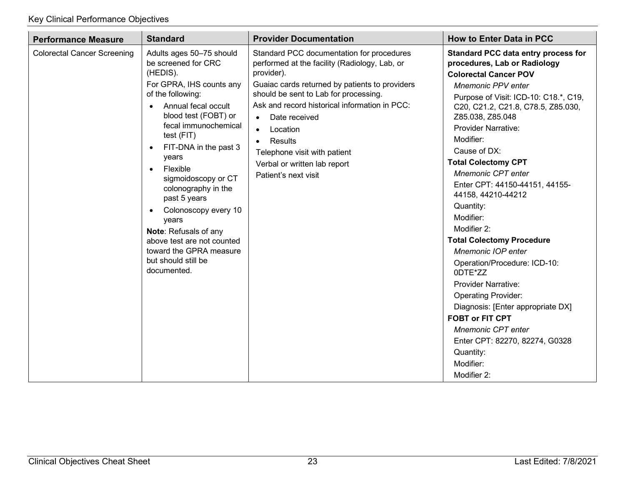| <b>Performance Measure</b>         | <b>Standard</b>                                                                                                                                                                                                                                                                                                                                                                                                                                                                                               | <b>Provider Documentation</b>                                                                                                                                                                                                                                                                                                                                                                                  | <b>How to Enter Data in PCC</b>                                                                                                                                                                                                                                                                                                                                                                                                                                                                                                                                                                                                                                                                                                                                                                    |
|------------------------------------|---------------------------------------------------------------------------------------------------------------------------------------------------------------------------------------------------------------------------------------------------------------------------------------------------------------------------------------------------------------------------------------------------------------------------------------------------------------------------------------------------------------|----------------------------------------------------------------------------------------------------------------------------------------------------------------------------------------------------------------------------------------------------------------------------------------------------------------------------------------------------------------------------------------------------------------|----------------------------------------------------------------------------------------------------------------------------------------------------------------------------------------------------------------------------------------------------------------------------------------------------------------------------------------------------------------------------------------------------------------------------------------------------------------------------------------------------------------------------------------------------------------------------------------------------------------------------------------------------------------------------------------------------------------------------------------------------------------------------------------------------|
| <b>Colorectal Cancer Screening</b> | Adults ages 50-75 should<br>be screened for CRC<br>(HEDIS).<br>For GPRA, IHS counts any<br>of the following:<br>Annual fecal occult<br>$\bullet$<br>blood test (FOBT) or<br>fecal immunochemical<br>test (FIT)<br>FIT-DNA in the past 3<br>$\bullet$<br>years<br>Flexible<br>$\bullet$<br>sigmoidoscopy or CT<br>colonography in the<br>past 5 years<br>Colonoscopy every 10<br>years<br>Note: Refusals of any<br>above test are not counted<br>toward the GPRA measure<br>but should still be<br>documented. | Standard PCC documentation for procedures<br>performed at the facility (Radiology, Lab, or<br>provider).<br>Guaiac cards returned by patients to providers<br>should be sent to Lab for processing.<br>Ask and record historical information in PCC:<br>Date received<br>$\bullet$<br>Location<br>$\bullet$<br>Results<br>Telephone visit with patient<br>Verbal or written lab report<br>Patient's next visit | Standard PCC data entry process for<br>procedures, Lab or Radiology<br><b>Colorectal Cancer POV</b><br><b>Mnemonic PPV enter</b><br>Purpose of Visit: ICD-10: C18.*, C19,<br>C20, C21.2, C21.8, C78.5, Z85.030,<br>Z85.038, Z85.048<br><b>Provider Narrative:</b><br>Modifier:<br>Cause of DX:<br><b>Total Colectomy CPT</b><br>Mnemonic CPT enter<br>Enter CPT: 44150-44151, 44155-<br>44158, 44210-44212<br>Quantity:<br>Modifier:<br>Modifier 2:<br><b>Total Colectomy Procedure</b><br><b>Mnemonic IOP enter</b><br>Operation/Procedure: ICD-10:<br>0DTE*ZZ<br><b>Provider Narrative:</b><br><b>Operating Provider:</b><br>Diagnosis: [Enter appropriate DX]<br><b>FOBT or FIT CPT</b><br><b>Mnemonic CPT enter</b><br>Enter CPT: 82270, 82274, G0328<br>Quantity:<br>Modifier:<br>Modifier 2: |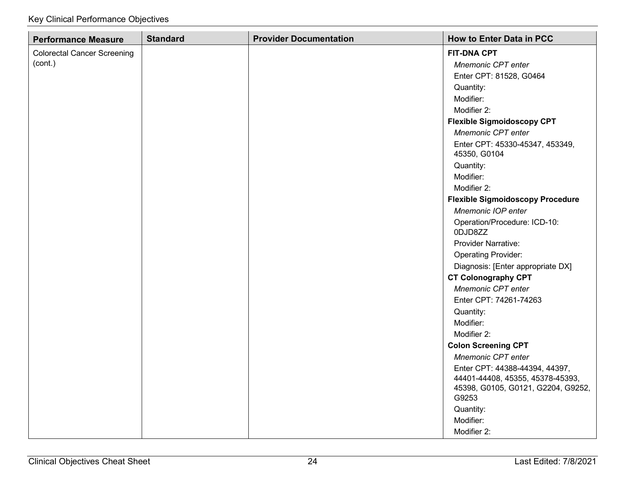| <b>Performance Measure</b>         | <b>Standard</b> | <b>Provider Documentation</b> | <b>How to Enter Data in PCC</b>                                                 |
|------------------------------------|-----------------|-------------------------------|---------------------------------------------------------------------------------|
| <b>Colorectal Cancer Screening</b> |                 |                               | <b>FIT-DNA CPT</b>                                                              |
| (cont.)                            |                 |                               | Mnemonic CPT enter                                                              |
|                                    |                 |                               | Enter CPT: 81528, G0464                                                         |
|                                    |                 |                               | Quantity:                                                                       |
|                                    |                 |                               | Modifier:                                                                       |
|                                    |                 |                               | Modifier 2:                                                                     |
|                                    |                 |                               | <b>Flexible Sigmoidoscopy CPT</b>                                               |
|                                    |                 |                               | Mnemonic CPT enter                                                              |
|                                    |                 |                               | Enter CPT: 45330-45347, 453349,<br>45350, G0104                                 |
|                                    |                 |                               | Quantity:                                                                       |
|                                    |                 |                               | Modifier:                                                                       |
|                                    |                 |                               | Modifier 2:                                                                     |
|                                    |                 |                               | <b>Flexible Sigmoidoscopy Procedure</b>                                         |
|                                    |                 |                               | Mnemonic IOP enter                                                              |
|                                    |                 |                               | Operation/Procedure: ICD-10:<br>0DJD8ZZ                                         |
|                                    |                 |                               | Provider Narrative:                                                             |
|                                    |                 |                               | <b>Operating Provider:</b>                                                      |
|                                    |                 |                               | Diagnosis: [Enter appropriate DX]                                               |
|                                    |                 |                               | <b>CT Colonography CPT</b>                                                      |
|                                    |                 |                               | Mnemonic CPT enter                                                              |
|                                    |                 |                               | Enter CPT: 74261-74263                                                          |
|                                    |                 |                               | Quantity:                                                                       |
|                                    |                 |                               | Modifier:                                                                       |
|                                    |                 |                               | Modifier 2:                                                                     |
|                                    |                 |                               | <b>Colon Screening CPT</b>                                                      |
|                                    |                 |                               | Mnemonic CPT enter                                                              |
|                                    |                 |                               | Enter CPT: 44388-44394, 44397,                                                  |
|                                    |                 |                               | 44401-44408, 45355, 45378-45393,<br>45398, G0105, G0121, G2204, G9252,<br>G9253 |
|                                    |                 |                               | Quantity:                                                                       |
|                                    |                 |                               | Modifier:                                                                       |
|                                    |                 |                               | Modifier 2:                                                                     |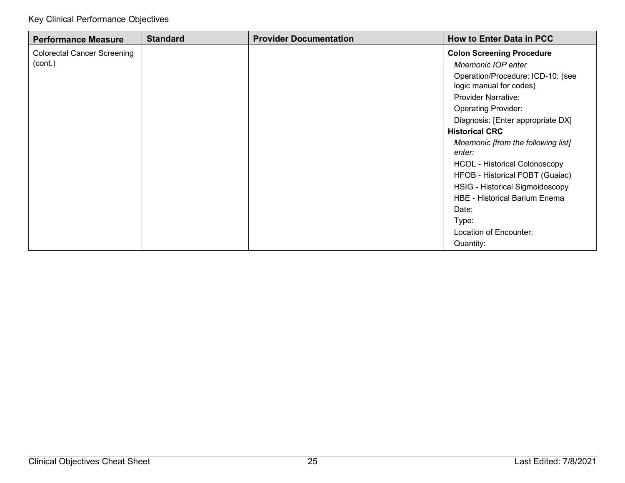| <b>Performance Measure</b>         | <b>Standard</b> | <b>Provider Documentation</b> | <b>How to Enter Data in PCC</b>      |
|------------------------------------|-----------------|-------------------------------|--------------------------------------|
| <b>Colorectal Cancer Screening</b> |                 |                               | <b>Colon Screening Procedure</b>     |
| (cont.)                            |                 |                               | Mnemonic IOP enter                   |
|                                    |                 |                               | Operation/Procedure: ICD-10: (see    |
|                                    |                 |                               | logic manual for codes)              |
|                                    |                 |                               | <b>Provider Narrative:</b>           |
|                                    |                 |                               | <b>Operating Provider:</b>           |
|                                    |                 |                               | Diagnosis: [Enter appropriate DX]    |
|                                    |                 |                               | <b>Historical CRC</b>                |
|                                    |                 |                               | Mnemonic [from the following list]   |
|                                    |                 |                               | enter:                               |
|                                    |                 |                               | <b>HCOL - Historical Colonoscopy</b> |
|                                    |                 |                               | HFOB - Historical FOBT (Guaiac)      |
|                                    |                 |                               | HSIG - Historical Sigmoidoscopy      |
|                                    |                 |                               | <b>HBE - Historical Barium Enema</b> |
|                                    |                 |                               | Date:                                |
|                                    |                 |                               | Type:                                |
|                                    |                 |                               | Location of Encounter:               |
|                                    |                 |                               | Quantity:                            |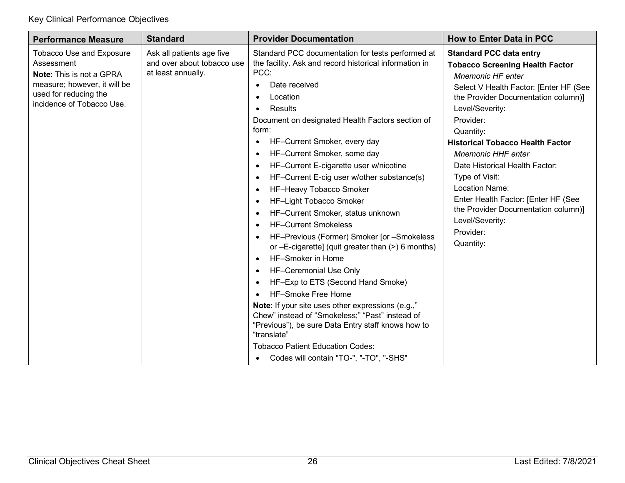| <b>Performance Measure</b>                                                                                                                                             | <b>Standard</b>                                                               | <b>Provider Documentation</b>                                                                                                                                                                                                                                                                                                                                                                                                                                                                                                                                                                                                                                                                                                                                                                                                                                                                                                                                                                                                                                                                                                                                      | <b>How to Enter Data in PCC</b>                                                                                                                                                                                                                                                                                                                                                                                                                                                                                    |
|------------------------------------------------------------------------------------------------------------------------------------------------------------------------|-------------------------------------------------------------------------------|--------------------------------------------------------------------------------------------------------------------------------------------------------------------------------------------------------------------------------------------------------------------------------------------------------------------------------------------------------------------------------------------------------------------------------------------------------------------------------------------------------------------------------------------------------------------------------------------------------------------------------------------------------------------------------------------------------------------------------------------------------------------------------------------------------------------------------------------------------------------------------------------------------------------------------------------------------------------------------------------------------------------------------------------------------------------------------------------------------------------------------------------------------------------|--------------------------------------------------------------------------------------------------------------------------------------------------------------------------------------------------------------------------------------------------------------------------------------------------------------------------------------------------------------------------------------------------------------------------------------------------------------------------------------------------------------------|
| <b>Tobacco Use and Exposure</b><br>Assessment<br><b>Note: This is not a GPRA</b><br>measure; however, it will be<br>used for reducing the<br>incidence of Tobacco Use. | Ask all patients age five<br>and over about tobacco use<br>at least annually. | Standard PCC documentation for tests performed at<br>the facility. Ask and record historical information in<br>PCC:<br>Date received<br>Location<br>$\bullet$<br>Results<br>$\bullet$<br>Document on designated Health Factors section of<br>form:<br>HF-Current Smoker, every day<br>$\bullet$<br>HF-Current Smoker, some day<br>$\bullet$<br>HF-Current E-cigarette user w/nicotine<br>$\bullet$<br>HF-Current E-cig user w/other substance(s)<br>$\bullet$<br>HF-Heavy Tobacco Smoker<br>$\bullet$<br>HF-Light Tobacco Smoker<br>$\bullet$<br>HF-Current Smoker, status unknown<br>$\bullet$<br><b>HF-Current Smokeless</b><br>$\bullet$<br>HF-Previous (Former) Smoker [or -Smokeless<br>or -E-cigarette] (quit greater than (>) 6 months)<br>HF-Smoker in Home<br>$\bullet$<br>HF-Ceremonial Use Only<br>$\bullet$<br>HF-Exp to ETS (Second Hand Smoke)<br>$\bullet$<br>HF-Smoke Free Home<br>Note: If your site uses other expressions (e.g.,"<br>Chew" instead of "Smokeless;" "Past" instead of<br>"Previous"), be sure Data Entry staff knows how to<br>"translate"<br><b>Tobacco Patient Education Codes:</b><br>Codes will contain "TO-", "-TO", "-SHS" | <b>Standard PCC data entry</b><br><b>Tobacco Screening Health Factor</b><br><b>Mnemonic HF enter</b><br>Select V Health Factor: [Enter HF (See<br>the Provider Documentation column)]<br>Level/Severity:<br>Provider:<br>Quantity:<br><b>Historical Tobacco Health Factor</b><br><b>Mnemonic HHF enter</b><br>Date Historical Health Factor:<br>Type of Visit:<br><b>Location Name:</b><br>Enter Health Factor: [Enter HF (See<br>the Provider Documentation column)]<br>Level/Severity:<br>Provider:<br>Quantity: |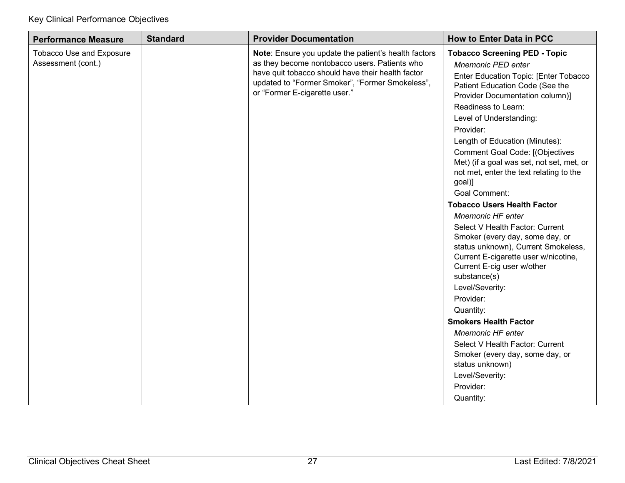| <b>Performance Measure</b>                     | <b>Standard</b>                                                                                                                                                                                                                                | <b>Provider Documentation</b>                                                                                                                                                                                                                                                                                                                                                                                                                                                                                           | <b>How to Enter Data in PCC</b>                                                                                                                                                                                                              |
|------------------------------------------------|------------------------------------------------------------------------------------------------------------------------------------------------------------------------------------------------------------------------------------------------|-------------------------------------------------------------------------------------------------------------------------------------------------------------------------------------------------------------------------------------------------------------------------------------------------------------------------------------------------------------------------------------------------------------------------------------------------------------------------------------------------------------------------|----------------------------------------------------------------------------------------------------------------------------------------------------------------------------------------------------------------------------------------------|
| Tobacco Use and Exposure<br>Assessment (cont.) | Note: Ensure you update the patient's health factors<br>as they become nontobacco users. Patients who<br>have quit tobacco should have their health factor<br>updated to "Former Smoker", "Former Smokeless",<br>or "Former E-cigarette user." | <b>Tobacco Screening PED - Topic</b><br><b>Mnemonic PED enter</b><br>Enter Education Topic: [Enter Tobacco<br>Patient Education Code (See the<br>Provider Documentation column)]<br>Readiness to Learn:<br>Level of Understanding:<br>Provider:<br>Length of Education (Minutes):<br><b>Comment Goal Code: [(Objectives</b><br>Met) (if a goal was set, not set, met, or<br>not met, enter the text relating to the<br>goal)]<br><b>Goal Comment:</b><br><b>Tobacco Users Health Factor</b><br><b>Mnemonic HF enter</b> |                                                                                                                                                                                                                                              |
|                                                |                                                                                                                                                                                                                                                |                                                                                                                                                                                                                                                                                                                                                                                                                                                                                                                         | Select V Health Factor: Current<br>Smoker (every day, some day, or<br>status unknown), Current Smokeless,<br>Current E-cigarette user w/nicotine,<br>Current E-cig user w/other<br>substance(s)<br>Level/Severity:<br>Provider:<br>Quantity: |
|                                                |                                                                                                                                                                                                                                                |                                                                                                                                                                                                                                                                                                                                                                                                                                                                                                                         | <b>Smokers Health Factor</b>                                                                                                                                                                                                                 |
|                                                |                                                                                                                                                                                                                                                |                                                                                                                                                                                                                                                                                                                                                                                                                                                                                                                         | <b>Mnemonic HF enter</b><br>Select V Health Factor: Current<br>Smoker (every day, some day, or<br>status unknown)                                                                                                                            |
|                                                |                                                                                                                                                                                                                                                |                                                                                                                                                                                                                                                                                                                                                                                                                                                                                                                         | Level/Severity:                                                                                                                                                                                                                              |
|                                                |                                                                                                                                                                                                                                                |                                                                                                                                                                                                                                                                                                                                                                                                                                                                                                                         | Provider:<br>Quantity:                                                                                                                                                                                                                       |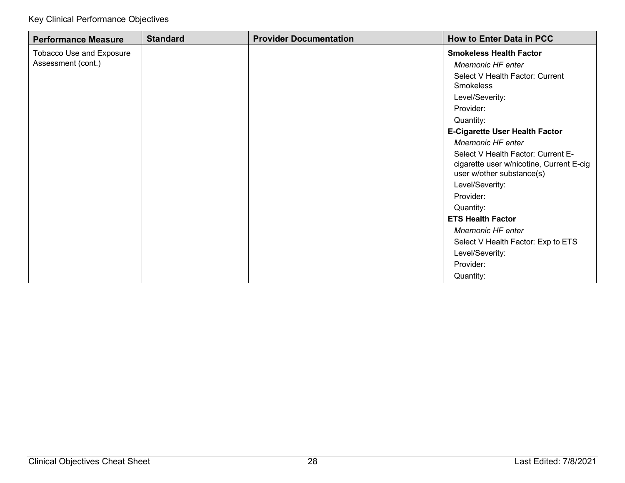| <b>Performance Measure</b>      | <b>Standard</b> | <b>Provider Documentation</b> | <b>How to Enter Data in PCC</b>                                                                             |
|---------------------------------|-----------------|-------------------------------|-------------------------------------------------------------------------------------------------------------|
| <b>Tobacco Use and Exposure</b> |                 |                               | <b>Smokeless Health Factor</b>                                                                              |
| Assessment (cont.)              |                 |                               | <b>Mnemonic HF enter</b>                                                                                    |
|                                 |                 |                               | Select V Health Factor: Current                                                                             |
|                                 |                 |                               | <b>Smokeless</b>                                                                                            |
|                                 |                 |                               | Level/Severity:                                                                                             |
|                                 |                 |                               | Provider:                                                                                                   |
|                                 |                 |                               | Quantity:                                                                                                   |
|                                 |                 |                               | <b>E-Cigarette User Health Factor</b>                                                                       |
|                                 |                 |                               | <b>Mnemonic HF enter</b>                                                                                    |
|                                 |                 |                               | Select V Health Factor: Current E-<br>cigarette user w/nicotine, Current E-cig<br>user w/other substance(s) |
|                                 |                 |                               | Level/Severity:                                                                                             |
|                                 |                 |                               | Provider:                                                                                                   |
|                                 |                 |                               | Quantity:                                                                                                   |
|                                 |                 |                               | <b>ETS Health Factor</b>                                                                                    |
|                                 |                 |                               | Mnemonic HF enter                                                                                           |
|                                 |                 |                               | Select V Health Factor: Exp to ETS                                                                          |
|                                 |                 |                               | Level/Severity:                                                                                             |
|                                 |                 |                               | Provider:                                                                                                   |
|                                 |                 |                               | Quantity:                                                                                                   |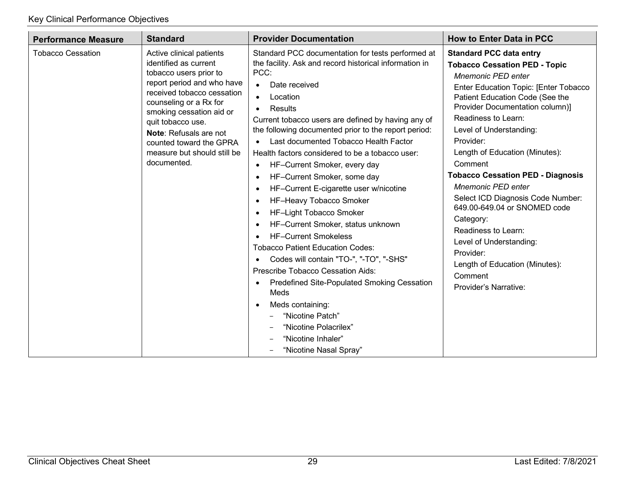| <b>Performance Measure</b> | <b>Standard</b>                                                                                                                                                                                                                                                                                                       | <b>Provider Documentation</b>                                                                                                                                                                                                                                                                                                                                                                                                                                                                                                                                                                                                                                                                                                                                                                                                                                                                                                                                                                                              | <b>How to Enter Data in PCC</b>                                                                                                                                                                                                                                                                                                                                                                                                                                                                                                                                                                                         |
|----------------------------|-----------------------------------------------------------------------------------------------------------------------------------------------------------------------------------------------------------------------------------------------------------------------------------------------------------------------|----------------------------------------------------------------------------------------------------------------------------------------------------------------------------------------------------------------------------------------------------------------------------------------------------------------------------------------------------------------------------------------------------------------------------------------------------------------------------------------------------------------------------------------------------------------------------------------------------------------------------------------------------------------------------------------------------------------------------------------------------------------------------------------------------------------------------------------------------------------------------------------------------------------------------------------------------------------------------------------------------------------------------|-------------------------------------------------------------------------------------------------------------------------------------------------------------------------------------------------------------------------------------------------------------------------------------------------------------------------------------------------------------------------------------------------------------------------------------------------------------------------------------------------------------------------------------------------------------------------------------------------------------------------|
| <b>Tobacco Cessation</b>   | Active clinical patients<br>identified as current<br>tobacco users prior to<br>report period and who have<br>received tobacco cessation<br>counseling or a Rx for<br>smoking cessation aid or<br>quit tobacco use.<br>Note: Refusals are not<br>counted toward the GPRA<br>measure but should still be<br>documented. | Standard PCC documentation for tests performed at<br>the facility. Ask and record historical information in<br>PCC:<br>Date received<br>$\bullet$<br>Location<br>$\bullet$<br>Results<br>Current tobacco users are defined by having any of<br>the following documented prior to the report period:<br>Last documented Tobacco Health Factor<br>Health factors considered to be a tobacco user:<br>HF-Current Smoker, every day<br>$\bullet$<br>HF-Current Smoker, some day<br>$\bullet$<br>HF-Current E-cigarette user w/nicotine<br>$\bullet$<br>HF-Heavy Tobacco Smoker<br>HF-Light Tobacco Smoker<br>HF-Current Smoker, status unknown<br>$\bullet$<br><b>HF-Current Smokeless</b><br><b>Tobacco Patient Education Codes:</b><br>Codes will contain "TO-", "-TO", "-SHS"<br>$\bullet$<br>Prescribe Tobacco Cessation Aids:<br><b>Predefined Site-Populated Smoking Cessation</b><br>$\bullet$<br>Meds<br>Meds containing:<br>"Nicotine Patch"<br>"Nicotine Polacrilex"<br>"Nicotine Inhaler"<br>"Nicotine Nasal Spray" | <b>Standard PCC data entry</b><br><b>Tobacco Cessation PED - Topic</b><br><b>Mnemonic PED enter</b><br>Enter Education Topic: [Enter Tobacco<br>Patient Education Code (See the<br>Provider Documentation column)]<br>Readiness to Learn:<br>Level of Understanding:<br>Provider:<br>Length of Education (Minutes):<br>Comment<br><b>Tobacco Cessation PED - Diagnosis</b><br>Mnemonic PED enter<br>Select ICD Diagnosis Code Number:<br>649.00-649.04 or SNOMED code<br>Category:<br>Readiness to Learn:<br>Level of Understanding:<br>Provider:<br>Length of Education (Minutes):<br>Comment<br>Provider's Narrative: |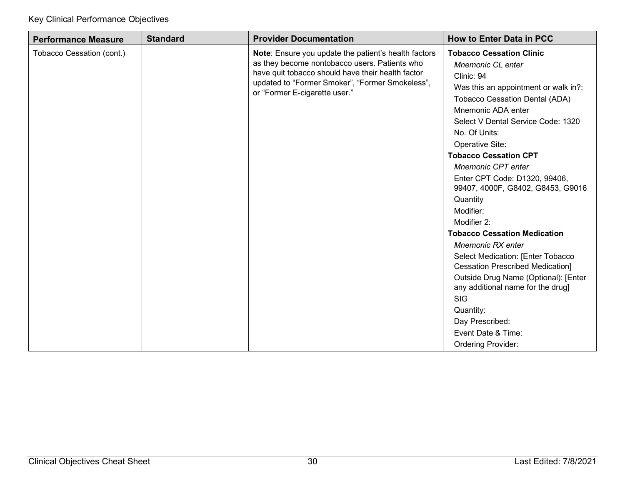| <b>Performance Measure</b> | <b>Standard</b> | <b>Provider Documentation</b>                                                                                                                                                                                                                  | <b>How to Enter Data in PCC</b>                                                                                                                                                                                                                                                                                                                                                                                                |
|----------------------------|-----------------|------------------------------------------------------------------------------------------------------------------------------------------------------------------------------------------------------------------------------------------------|--------------------------------------------------------------------------------------------------------------------------------------------------------------------------------------------------------------------------------------------------------------------------------------------------------------------------------------------------------------------------------------------------------------------------------|
| Tobacco Cessation (cont.)  |                 | Note: Ensure you update the patient's health factors<br>as they become nontobacco users. Patients who<br>have quit tobacco should have their health factor<br>updated to "Former Smoker", "Former Smokeless",<br>or "Former E-cigarette user." | <b>Tobacco Cessation Clinic</b><br>Mnemonic CL enter<br>Clinic: 94<br>Was this an appointment or walk in?:<br><b>Tobacco Cessation Dental (ADA)</b><br>Mnemonic ADA enter<br>Select V Dental Service Code: 1320<br>No. Of Units:<br>Operative Site:<br><b>Tobacco Cessation CPT</b><br><b>Mnemonic CPT enter</b><br>Enter CPT Code: D1320, 99406,<br>99407, 4000F, G8402, G8453, G9016<br>Quantity<br>Modifier:<br>Modifier 2: |
|                            |                 |                                                                                                                                                                                                                                                | <b>Tobacco Cessation Medication</b><br>Mnemonic RX enter<br>Select Medication: [Enter Tobacco<br><b>Cessation Prescribed Medication]</b><br>Outside Drug Name (Optional): [Enter<br>any additional name for the drug]<br><b>SIG</b><br>Quantity:<br>Day Prescribed:<br>Event Date & Time:<br><b>Ordering Provider:</b>                                                                                                         |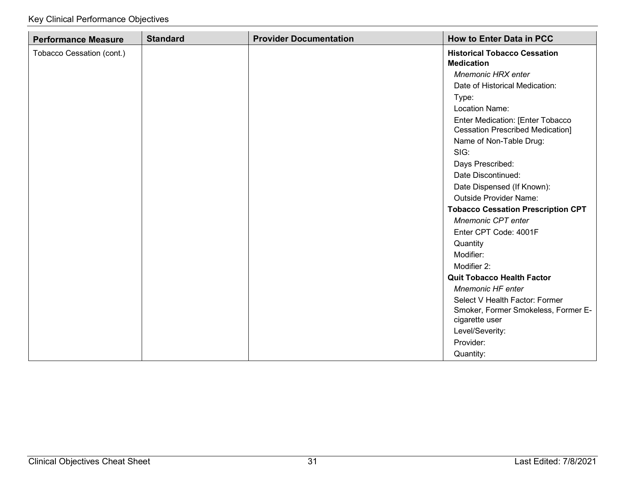| <b>Performance Measure</b> | <b>Standard</b> | <b>Provider Documentation</b> | <b>How to Enter Data in PCC</b>                                             |
|----------------------------|-----------------|-------------------------------|-----------------------------------------------------------------------------|
| Tobacco Cessation (cont.)  |                 |                               | <b>Historical Tobacco Cessation</b>                                         |
|                            |                 |                               | <b>Medication</b>                                                           |
|                            |                 |                               | <b>Mnemonic HRX enter</b>                                                   |
|                            |                 |                               | Date of Historical Medication:                                              |
|                            |                 |                               | Type:                                                                       |
|                            |                 |                               | <b>Location Name:</b>                                                       |
|                            |                 |                               | Enter Medication: [Enter Tobacco<br><b>Cessation Prescribed Medication]</b> |
|                            |                 |                               | Name of Non-Table Drug:                                                     |
|                            |                 |                               | SIG:                                                                        |
|                            |                 |                               | Days Prescribed:                                                            |
|                            |                 |                               | Date Discontinued:                                                          |
|                            |                 |                               | Date Dispensed (If Known):                                                  |
|                            |                 |                               | <b>Outside Provider Name:</b>                                               |
|                            |                 |                               | <b>Tobacco Cessation Prescription CPT</b>                                   |
|                            |                 |                               | Mnemonic CPT enter                                                          |
|                            |                 |                               | Enter CPT Code: 4001F                                                       |
|                            |                 |                               | Quantity                                                                    |
|                            |                 |                               | Modifier:                                                                   |
|                            |                 |                               | Modifier 2:                                                                 |
|                            |                 |                               | <b>Quit Tobacco Health Factor</b>                                           |
|                            |                 |                               | <b>Mnemonic HF enter</b>                                                    |
|                            |                 |                               | Select V Health Factor: Former                                              |
|                            |                 |                               | Smoker, Former Smokeless, Former E-<br>cigarette user                       |
|                            |                 |                               | Level/Severity:                                                             |
|                            |                 |                               | Provider:                                                                   |
|                            |                 |                               | Quantity:                                                                   |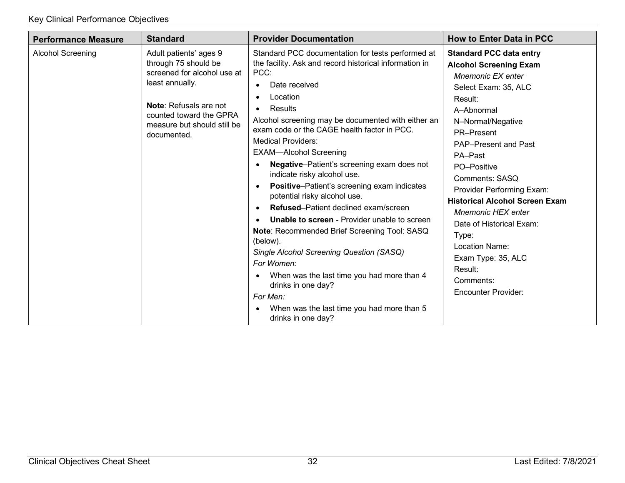| <b>Performance Measure</b> | <b>Standard</b>                                                                                                                                                                                            | <b>Provider Documentation</b>                                                                                                                                                                                                                                                                                                                                                                                                                                                                                                                                                                                                                                                                                                                                                                                                                                                                                                                | <b>How to Enter Data in PCC</b>                                                                                                                                                                                                                                                                                                                                                                                                                                                           |
|----------------------------|------------------------------------------------------------------------------------------------------------------------------------------------------------------------------------------------------------|----------------------------------------------------------------------------------------------------------------------------------------------------------------------------------------------------------------------------------------------------------------------------------------------------------------------------------------------------------------------------------------------------------------------------------------------------------------------------------------------------------------------------------------------------------------------------------------------------------------------------------------------------------------------------------------------------------------------------------------------------------------------------------------------------------------------------------------------------------------------------------------------------------------------------------------------|-------------------------------------------------------------------------------------------------------------------------------------------------------------------------------------------------------------------------------------------------------------------------------------------------------------------------------------------------------------------------------------------------------------------------------------------------------------------------------------------|
| <b>Alcohol Screening</b>   | Adult patients' ages 9<br>through 75 should be<br>screened for alcohol use at<br>least annually.<br><b>Note: Refusals are not</b><br>counted toward the GPRA<br>measure but should still be<br>documented. | Standard PCC documentation for tests performed at<br>the facility. Ask and record historical information in<br>PCC:<br>Date received<br>Location<br>$\bullet$<br>Results<br>$\bullet$<br>Alcohol screening may be documented with either an<br>exam code or the CAGE health factor in PCC.<br><b>Medical Providers:</b><br><b>EXAM-Alcohol Screening</b><br><b>Negative-Patient's screening exam does not</b><br>indicate risky alcohol use.<br><b>Positive-Patient's screening exam indicates</b><br>$\bullet$<br>potential risky alcohol use.<br><b>Refused–Patient declined exam/screen</b><br><b>Unable to screen</b> - Provider unable to screen<br>Note: Recommended Brief Screening Tool: SASQ<br>(below).<br>Single Alcohol Screening Question (SASQ)<br>For Women:<br>When was the last time you had more than 4<br>$\bullet$<br>drinks in one day?<br>For Men:<br>When was the last time you had more than 5<br>drinks in one day? | <b>Standard PCC data entry</b><br><b>Alcohol Screening Exam</b><br>Mnemonic EX enter<br>Select Exam: 35, ALC<br>Result:<br>A-Abnormal<br>N-Normal/Negative<br>PR-Present<br><b>PAP-Present and Past</b><br>PA-Past<br>PO-Positive<br>Comments: SASQ<br>Provider Performing Exam:<br><b>Historical Alcohol Screen Exam</b><br><b>Mnemonic HEX enter</b><br>Date of Historical Exam:<br>Type:<br>Location Name:<br>Exam Type: 35, ALC<br>Result:<br>Comments:<br><b>Encounter Provider:</b> |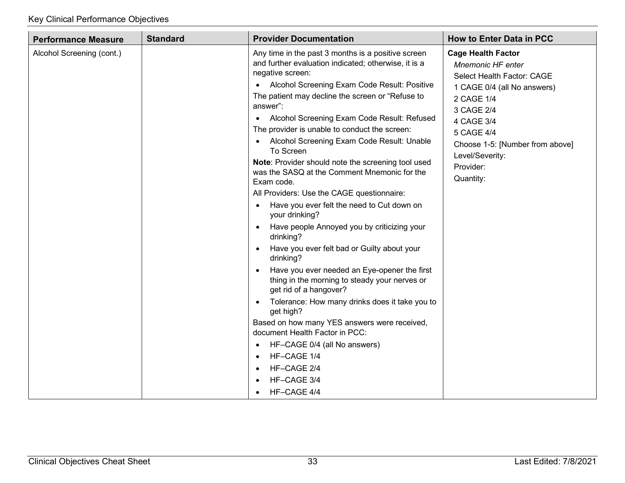| <b>Performance Measure</b> | <b>Standard</b> | <b>Provider Documentation</b>                                                                                                                                                                                                                                                                                                                                                                                                                                                                                                                                                                                                                                                                                                                                                                                                                                                                                                                                                                                                                                                                                                                                                                                             | <b>How to Enter Data in PCC</b>                                                                                                                                                                                                                            |
|----------------------------|-----------------|---------------------------------------------------------------------------------------------------------------------------------------------------------------------------------------------------------------------------------------------------------------------------------------------------------------------------------------------------------------------------------------------------------------------------------------------------------------------------------------------------------------------------------------------------------------------------------------------------------------------------------------------------------------------------------------------------------------------------------------------------------------------------------------------------------------------------------------------------------------------------------------------------------------------------------------------------------------------------------------------------------------------------------------------------------------------------------------------------------------------------------------------------------------------------------------------------------------------------|------------------------------------------------------------------------------------------------------------------------------------------------------------------------------------------------------------------------------------------------------------|
| Alcohol Screening (cont.)  |                 | Any time in the past 3 months is a positive screen<br>and further evaluation indicated; otherwise, it is a<br>negative screen:<br>Alcohol Screening Exam Code Result: Positive<br>The patient may decline the screen or "Refuse to<br>answer":<br>Alcohol Screening Exam Code Result: Refused<br>$\bullet$<br>The provider is unable to conduct the screen:<br>Alcohol Screening Exam Code Result: Unable<br>To Screen<br>Note: Provider should note the screening tool used<br>was the SASQ at the Comment Mnemonic for the<br>Exam code.<br>All Providers: Use the CAGE questionnaire:<br>Have you ever felt the need to Cut down on<br>$\bullet$<br>your drinking?<br>Have people Annoyed you by criticizing your<br>$\bullet$<br>drinking?<br>Have you ever felt bad or Guilty about your<br>drinking?<br>Have you ever needed an Eye-opener the first<br>$\bullet$<br>thing in the morning to steady your nerves or<br>get rid of a hangover?<br>Tolerance: How many drinks does it take you to<br>$\bullet$<br>get high?<br>Based on how many YES answers were received,<br>document Health Factor in PCC:<br>HF-CAGE 0/4 (all No answers)<br>$\bullet$<br>HF-CAGE 1/4<br>HF-CAGE 2/4<br>HF-CAGE 3/4<br>HF-CAGE 4/4 | <b>Cage Health Factor</b><br><b>Mnemonic HF enter</b><br>Select Health Factor: CAGE<br>1 CAGE 0/4 (all No answers)<br>2 CAGE 1/4<br>3 CAGE 2/4<br>4 CAGE 3/4<br>5 CAGE 4/4<br>Choose 1-5: [Number from above]<br>Level/Severity:<br>Provider:<br>Quantity: |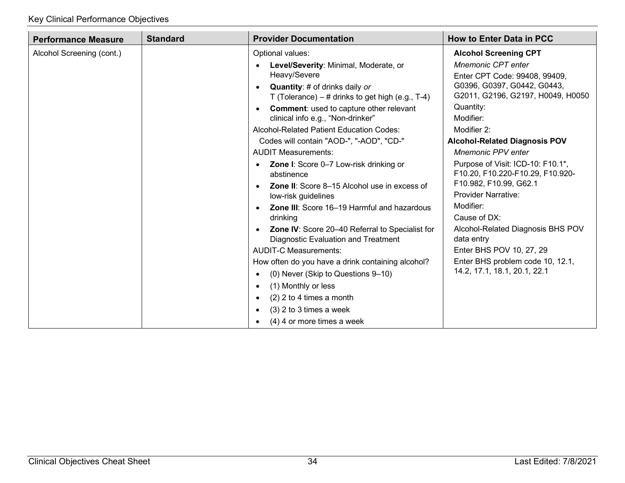| <b>Standard</b><br><b>Performance Measure</b> | <b>Provider Documentation</b>                                                                                                                                                                                                                                                                                                                                                                                                                                                                                                                                                                                                                                                                                                                                                                                                                                                                                                                                                                                              | <b>How to Enter Data in PCC</b>                                                                                                                                                                                                                                                                                                                                                                                                                                                                                                                                                               |
|-----------------------------------------------|----------------------------------------------------------------------------------------------------------------------------------------------------------------------------------------------------------------------------------------------------------------------------------------------------------------------------------------------------------------------------------------------------------------------------------------------------------------------------------------------------------------------------------------------------------------------------------------------------------------------------------------------------------------------------------------------------------------------------------------------------------------------------------------------------------------------------------------------------------------------------------------------------------------------------------------------------------------------------------------------------------------------------|-----------------------------------------------------------------------------------------------------------------------------------------------------------------------------------------------------------------------------------------------------------------------------------------------------------------------------------------------------------------------------------------------------------------------------------------------------------------------------------------------------------------------------------------------------------------------------------------------|
| Alcohol Screening (cont.)                     | Optional values:<br>Level/Severity: Minimal, Moderate, or<br>Heavy/Severe<br><b>Quantity:</b> # of drinks daily or<br>$\bullet$<br>T (Tolerance) $-$ # drinks to get high (e.g., T-4)<br><b>Comment:</b> used to capture other relevant<br>$\bullet$<br>clinical info e.g., "Non-drinker"<br>Alcohol-Related Patient Education Codes:<br>Codes will contain "AOD-", "-AOD", "CD-"<br><b>AUDIT Measurements:</b><br><b>Zone I:</b> Score 0-7 Low-risk drinking or<br>$\bullet$<br>abstinence<br><b>Zone II:</b> Score 8–15 Alcohol use in excess of<br>low-risk guidelines<br><b>Zone III:</b> Score 16-19 Harmful and hazardous<br>drinking<br><b>Zone IV: Score 20-40 Referral to Specialist for</b><br>$\bullet$<br>Diagnostic Evaluation and Treatment<br><b>AUDIT-C Measurements:</b><br>How often do you have a drink containing alcohol?<br>(0) Never (Skip to Questions 9-10)<br>$\bullet$<br>(1) Monthly or less<br>$\bullet$<br>$(2)$ 2 to 4 times a month<br>$\bullet$<br>$(3)$ 2 to 3 times a week<br>$\bullet$ | <b>Alcohol Screening CPT</b><br><b>Mnemonic CPT enter</b><br>Enter CPT Code: 99408, 99409,<br>G0396, G0397, G0442, G0443,<br>G2011, G2196, G2197, H0049, H0050<br>Quantity:<br>Modifier:<br>Modifier 2:<br><b>Alcohol-Related Diagnosis POV</b><br><b>Mnemonic PPV enter</b><br>Purpose of Visit: ICD-10: F10.1*,<br>F10.20, F10.220-F10.29, F10.920-<br>F10.982, F10.99, G62.1<br><b>Provider Narrative:</b><br>Modifier:<br>Cause of DX:<br>Alcohol-Related Diagnosis BHS POV<br>data entry<br>Enter BHS POV 10, 27, 29<br>Enter BHS problem code 10, 12.1,<br>14.2, 17.1, 18.1, 20.1, 22.1 |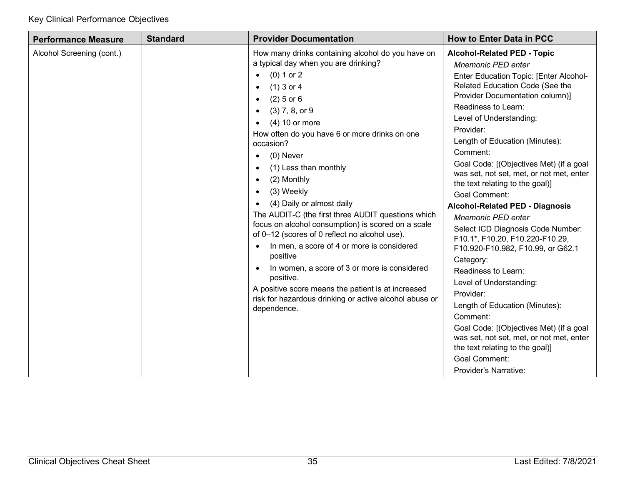| <b>Performance Measure</b> | <b>Standard</b> | <b>Provider Documentation</b>                                                                                                                                                                                                                                                                                                                                                                                                                                                                                                                                                                                                                                                                                                                                                                                                                                                                        | <b>How to Enter Data in PCC</b>                                                                                                                                                                                                                                                                                                                                                                                                                                                                                                                                                                                                                                                                                                                                                                                                                                                                                                         |
|----------------------------|-----------------|------------------------------------------------------------------------------------------------------------------------------------------------------------------------------------------------------------------------------------------------------------------------------------------------------------------------------------------------------------------------------------------------------------------------------------------------------------------------------------------------------------------------------------------------------------------------------------------------------------------------------------------------------------------------------------------------------------------------------------------------------------------------------------------------------------------------------------------------------------------------------------------------------|-----------------------------------------------------------------------------------------------------------------------------------------------------------------------------------------------------------------------------------------------------------------------------------------------------------------------------------------------------------------------------------------------------------------------------------------------------------------------------------------------------------------------------------------------------------------------------------------------------------------------------------------------------------------------------------------------------------------------------------------------------------------------------------------------------------------------------------------------------------------------------------------------------------------------------------------|
| Alcohol Screening (cont.)  |                 | How many drinks containing alcohol do you have on<br>a typical day when you are drinking?<br>$(0) 1$ or 2<br>$\bullet$<br>$(1)$ 3 or 4<br>$\bullet$<br>$(2)$ 5 or 6<br>$\bullet$<br>$(3)$ 7, 8, or 9<br>$\bullet$<br>$(4)$ 10 or more<br>How often do you have 6 or more drinks on one<br>occasion?<br>(0) Never<br>$\bullet$<br>(1) Less than monthly<br>$\bullet$<br>(2) Monthly<br>$\bullet$<br>(3) Weekly<br>$\bullet$<br>(4) Daily or almost daily<br>$\bullet$<br>The AUDIT-C (the first three AUDIT questions which<br>focus on alcohol consumption) is scored on a scale<br>of 0-12 (scores of 0 reflect no alcohol use).<br>In men, a score of 4 or more is considered<br>positive<br>In women, a score of 3 or more is considered<br>$\bullet$<br>positive.<br>A positive score means the patient is at increased<br>risk for hazardous drinking or active alcohol abuse or<br>dependence. | <b>Alcohol-Related PED - Topic</b><br><b>Mnemonic PED enter</b><br>Enter Education Topic: [Enter Alcohol-<br>Related Education Code (See the<br>Provider Documentation column)]<br>Readiness to Learn:<br>Level of Understanding:<br>Provider:<br>Length of Education (Minutes):<br>Comment:<br>Goal Code: [(Objectives Met) (if a goal<br>was set, not set, met, or not met, enter<br>the text relating to the goal)]<br><b>Goal Comment:</b><br><b>Alcohol-Related PED - Diagnosis</b><br><b>Mnemonic PED enter</b><br>Select ICD Diagnosis Code Number:<br>F10.1*, F10.20, F10.220-F10.29,<br>F10.920-F10.982, F10.99, or G62.1<br>Category:<br>Readiness to Learn:<br>Level of Understanding:<br>Provider:<br>Length of Education (Minutes):<br>Comment:<br>Goal Code: [(Objectives Met) (if a goal<br>was set, not set, met, or not met, enter<br>the text relating to the goal)]<br><b>Goal Comment:</b><br>Provider's Narrative: |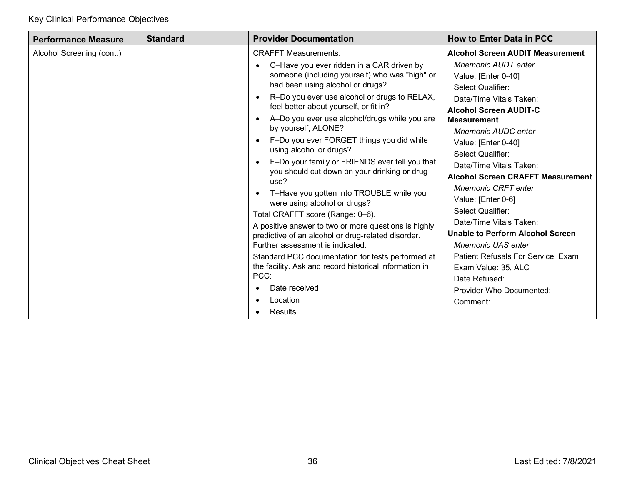| <b>Performance Measure</b> | <b>Standard</b> | <b>Provider Documentation</b>                                                                                                                  | <b>How to Enter Data in PCC</b>                                                                 |
|----------------------------|-----------------|------------------------------------------------------------------------------------------------------------------------------------------------|-------------------------------------------------------------------------------------------------|
| Alcohol Screening (cont.)  |                 | <b>CRAFFT Measurements:</b><br>C-Have you ever ridden in a CAR driven by                                                                       | <b>Alcohol Screen AUDIT Measurement</b><br><b>Mnemonic AUDT enter</b>                           |
|                            |                 | someone (including yourself) who was "high" or<br>had been using alcohol or drugs?                                                             | Value: [Enter 0-40]<br>Select Qualifier:                                                        |
|                            |                 | R-Do you ever use alcohol or drugs to RELAX,<br>feel better about yourself, or fit in?                                                         | Date/Time Vitals Taken:<br><b>Alcohol Screen AUDIT-C</b>                                        |
|                            |                 | A-Do you ever use alcohol/drugs while you are<br>by yourself, ALONE?<br>F-Do you ever FORGET things you did while                              | <b>Measurement</b><br>Mnemonic AUDC enter<br>Value: [Enter 0-40]                                |
|                            |                 | using alcohol or drugs?<br>F-Do your family or FRIENDS ever tell you that                                                                      | Select Qualifier:<br>Date/Time Vitals Taken:                                                    |
|                            |                 | you should cut down on your drinking or drug<br>use?<br>T-Have you gotten into TROUBLE while you                                               | <b>Alcohol Screen CRAFFT Measurement</b><br><b>Mnemonic CRFT enter</b>                          |
|                            |                 | were using alcohol or drugs?<br>Total CRAFFT score (Range: 0-6).                                                                               | Value: [Enter 0-6]<br>Select Qualifier:                                                         |
|                            |                 | A positive answer to two or more questions is highly<br>predictive of an alcohol or drug-related disorder.<br>Further assessment is indicated. | Date/Time Vitals Taken:<br><b>Unable to Perform Alcohol Screen</b><br><b>Mnemonic UAS enter</b> |
|                            |                 | Standard PCC documentation for tests performed at<br>the facility. Ask and record historical information in<br>PCC:                            | <b>Patient Refusals For Service: Exam</b><br>Exam Value: 35, ALC<br>Date Refused:               |
|                            |                 | Date received<br>$\bullet$<br>Location<br>٠                                                                                                    | Provider Who Documented:<br>Comment:                                                            |
|                            |                 | Results                                                                                                                                        |                                                                                                 |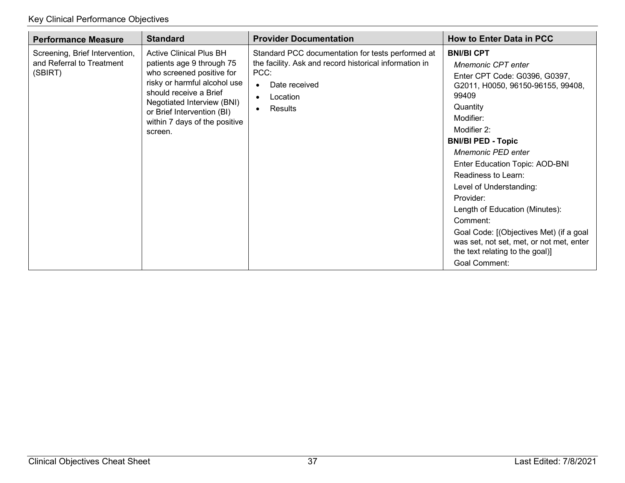| <b>Performance Measure</b>                                             | <b>Standard</b>                                                                                                                                                                                                                                            | <b>Provider Documentation</b>                                                                                                                                                                      | <b>How to Enter Data in PCC</b>                                                                                                                                                                                                                                                                                                                                                                                                                                                                                           |
|------------------------------------------------------------------------|------------------------------------------------------------------------------------------------------------------------------------------------------------------------------------------------------------------------------------------------------------|----------------------------------------------------------------------------------------------------------------------------------------------------------------------------------------------------|---------------------------------------------------------------------------------------------------------------------------------------------------------------------------------------------------------------------------------------------------------------------------------------------------------------------------------------------------------------------------------------------------------------------------------------------------------------------------------------------------------------------------|
| Screening, Brief Intervention,<br>and Referral to Treatment<br>(SBIRT) | <b>Active Clinical Plus BH</b><br>patients age 9 through 75<br>who screened positive for<br>risky or harmful alcohol use<br>should receive a Brief<br>Negotiated Interview (BNI)<br>or Brief Intervention (BI)<br>within 7 days of the positive<br>screen. | Standard PCC documentation for tests performed at<br>the facility. Ask and record historical information in<br>PCC:<br>Date received<br>$\bullet$<br>Location<br>$\bullet$<br>Results<br>$\bullet$ | <b>BNI/BI CPT</b><br>Mnemonic CPT enter<br>Enter CPT Code: G0396, G0397,<br>G2011, H0050, 96150-96155, 99408,<br>99409<br>Quantity<br>Modifier:<br>Modifier 2:<br><b>BNI/BI PED - Topic</b><br><b>Mnemonic PED enter</b><br>Enter Education Topic: AOD-BNI<br>Readiness to Learn:<br>Level of Understanding:<br>Provider:<br>Length of Education (Minutes):<br>Comment:<br>Goal Code: [(Objectives Met) (if a goal<br>was set, not set, met, or not met, enter<br>the text relating to the goal)]<br><b>Goal Comment:</b> |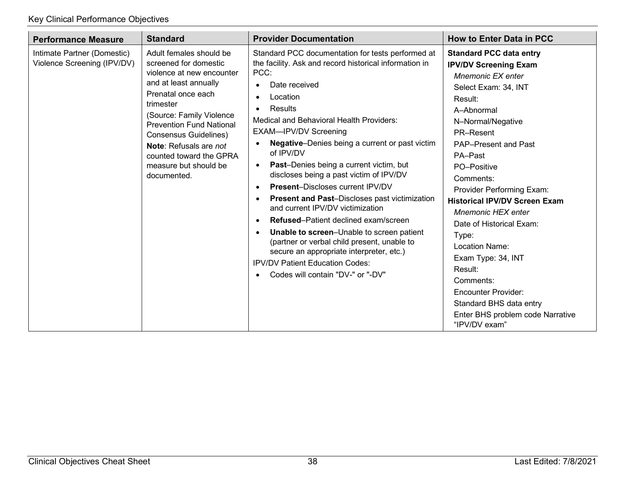| <b>Performance Measure</b>                                 | <b>Standard</b>                                                                                                                                                                                                                                                                                                                              | <b>Provider Documentation</b>                                                                                                                                                                                                                                                                                                                                                                                                                                                                                                                                                                                                                                                                                                                                                                                                                                                                                            | <b>How to Enter Data in PCC</b>                                                                                                                                                                                                                                                                                                                                                                                                                                                                                                                            |
|------------------------------------------------------------|----------------------------------------------------------------------------------------------------------------------------------------------------------------------------------------------------------------------------------------------------------------------------------------------------------------------------------------------|--------------------------------------------------------------------------------------------------------------------------------------------------------------------------------------------------------------------------------------------------------------------------------------------------------------------------------------------------------------------------------------------------------------------------------------------------------------------------------------------------------------------------------------------------------------------------------------------------------------------------------------------------------------------------------------------------------------------------------------------------------------------------------------------------------------------------------------------------------------------------------------------------------------------------|------------------------------------------------------------------------------------------------------------------------------------------------------------------------------------------------------------------------------------------------------------------------------------------------------------------------------------------------------------------------------------------------------------------------------------------------------------------------------------------------------------------------------------------------------------|
| Intimate Partner (Domestic)<br>Violence Screening (IPV/DV) | Adult females should be<br>screened for domestic<br>violence at new encounter<br>and at least annually<br>Prenatal once each<br>trimester<br>(Source: Family Violence<br><b>Prevention Fund National</b><br><b>Consensus Guidelines)</b><br><b>Note:</b> Refusals are not<br>counted toward the GPRA<br>measure but should be<br>documented. | Standard PCC documentation for tests performed at<br>the facility. Ask and record historical information in<br>PCC:<br>Date received<br>$\bullet$<br>Location<br>$\bullet$<br>Results<br>$\bullet$<br><b>Medical and Behavioral Health Providers:</b><br>EXAM-IPV/DV Screening<br><b>Negative-Denies being a current or past victim</b><br>of IPV/DV<br><b>Past-Denies being a current victim, but</b><br>$\bullet$<br>discloses being a past victim of IPV/DV<br><b>Present-Discloses current IPV/DV</b><br>$\bullet$<br><b>Present and Past-Discloses past victimization</b><br>$\bullet$<br>and current IPV/DV victimization<br>Refused-Patient declined exam/screen<br>$\bullet$<br>Unable to screen-Unable to screen patient<br>$\bullet$<br>(partner or verbal child present, unable to<br>secure an appropriate interpreter, etc.)<br><b>IPV/DV Patient Education Codes:</b><br>Codes will contain "DV-" or "-DV" | <b>Standard PCC data entry</b><br><b>IPV/DV Screening Exam</b><br>Mnemonic EX enter<br>Select Exam: 34, INT<br>Result:<br>A-Abnormal<br>N-Normal/Negative<br>PR-Resent<br><b>PAP-Present and Past</b><br>PA-Past<br>PO-Positive<br>Comments:<br>Provider Performing Exam:<br><b>Historical IPV/DV Screen Exam</b><br><b>Mnemonic HEX enter</b><br>Date of Historical Exam:<br>Type:<br>Location Name:<br>Exam Type: 34, INT<br>Result:<br>Comments:<br>Encounter Provider:<br>Standard BHS data entry<br>Enter BHS problem code Narrative<br>"IPV/DV exam" |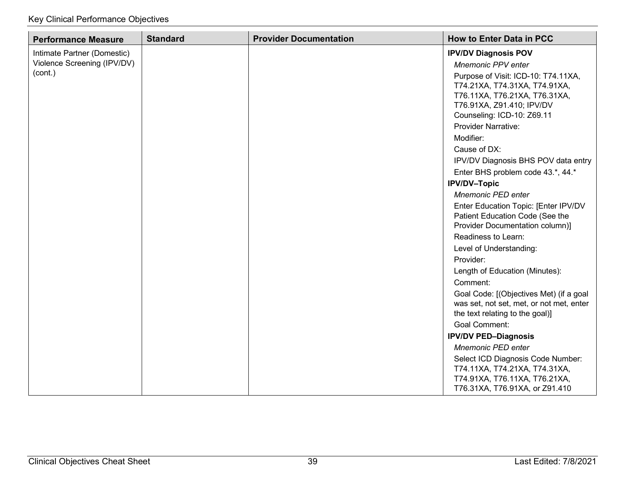| <b>Performance Measure</b>  | <b>Standard</b> | <b>Provider Documentation</b> | <b>How to Enter Data in PCC</b>                                                                                                                                  |
|-----------------------------|-----------------|-------------------------------|------------------------------------------------------------------------------------------------------------------------------------------------------------------|
| Intimate Partner (Domestic) |                 |                               | <b>IPV/DV Diagnosis POV</b>                                                                                                                                      |
| Violence Screening (IPV/DV) |                 |                               | Mnemonic PPV enter                                                                                                                                               |
| (cont.)                     |                 |                               | Purpose of Visit: ICD-10: T74.11XA,<br>T74.21XA, T74.31XA, T74.91XA,<br>T76.11XA, T76.21XA, T76.31XA,<br>T76.91XA, Z91.410; IPV/DV<br>Counseling: ICD-10: Z69.11 |
|                             |                 |                               | Provider Narrative:                                                                                                                                              |
|                             |                 |                               | Modifier:                                                                                                                                                        |
|                             |                 |                               | Cause of DX:                                                                                                                                                     |
|                             |                 |                               | IPV/DV Diagnosis BHS POV data entry                                                                                                                              |
|                             |                 |                               | Enter BHS problem code 43.*, 44.*                                                                                                                                |
|                             |                 |                               | <b>IPV/DV-Topic</b>                                                                                                                                              |
|                             |                 |                               | <b>Mnemonic PED enter</b>                                                                                                                                        |
|                             |                 |                               | Enter Education Topic: [Enter IPV/DV<br>Patient Education Code (See the<br>Provider Documentation column)]                                                       |
|                             |                 |                               | Readiness to Learn:                                                                                                                                              |
|                             |                 |                               | Level of Understanding:                                                                                                                                          |
|                             |                 |                               | Provider:                                                                                                                                                        |
|                             |                 |                               | Length of Education (Minutes):                                                                                                                                   |
|                             |                 |                               | Comment:                                                                                                                                                         |
|                             |                 |                               | Goal Code: [(Objectives Met) (if a goal<br>was set, not set, met, or not met, enter<br>the text relating to the goal)]                                           |
|                             |                 |                               | <b>Goal Comment:</b>                                                                                                                                             |
|                             |                 |                               | <b>IPV/DV PED-Diagnosis</b>                                                                                                                                      |
|                             |                 |                               | Mnemonic PED enter                                                                                                                                               |
|                             |                 |                               | Select ICD Diagnosis Code Number:<br>T74.11XA, T74.21XA, T74.31XA,<br>T74.91XA, T76.11XA, T76.21XA,<br>T76.31XA, T76.91XA, or Z91.410                            |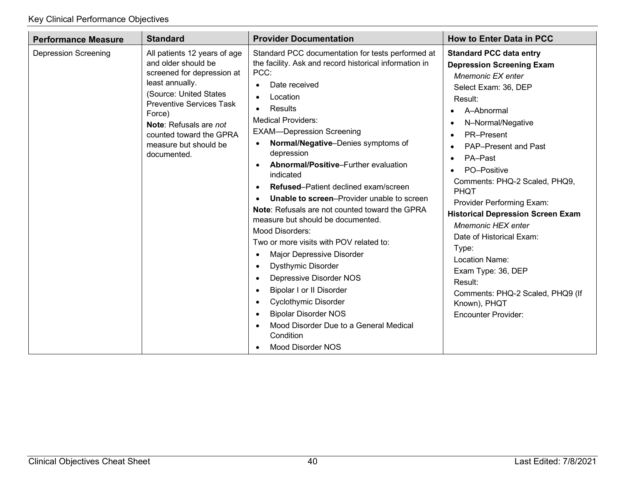| <b>Performance Measure</b>  | <b>Standard</b>                                                                                                                                                                                                                                                                 | <b>Provider Documentation</b>                                                                                                                                                                                                                                                                                                                                                                                                                                                                                                                                                                                                                                                                                                                                                                                                                                                                                                                                                                                                        | <b>How to Enter Data in PCC</b>                                                                                                                                                                                                                                                                                                                                                                                                                                                                                                                                                                                                      |
|-----------------------------|---------------------------------------------------------------------------------------------------------------------------------------------------------------------------------------------------------------------------------------------------------------------------------|--------------------------------------------------------------------------------------------------------------------------------------------------------------------------------------------------------------------------------------------------------------------------------------------------------------------------------------------------------------------------------------------------------------------------------------------------------------------------------------------------------------------------------------------------------------------------------------------------------------------------------------------------------------------------------------------------------------------------------------------------------------------------------------------------------------------------------------------------------------------------------------------------------------------------------------------------------------------------------------------------------------------------------------|--------------------------------------------------------------------------------------------------------------------------------------------------------------------------------------------------------------------------------------------------------------------------------------------------------------------------------------------------------------------------------------------------------------------------------------------------------------------------------------------------------------------------------------------------------------------------------------------------------------------------------------|
| <b>Depression Screening</b> | All patients 12 years of age<br>and older should be<br>screened for depression at<br>least annually.<br>(Source: United States<br><b>Preventive Services Task</b><br>Force)<br><b>Note:</b> Refusals are not<br>counted toward the GPRA<br>measure but should be<br>documented. | Standard PCC documentation for tests performed at<br>the facility. Ask and record historical information in<br>PCC:<br>Date received<br>$\bullet$<br>Location<br>$\bullet$<br>Results<br>$\bullet$<br><b>Medical Providers:</b><br><b>EXAM-Depression Screening</b><br>Normal/Negative-Denies symptoms of<br>$\bullet$<br>depression<br>Abnormal/Positive-Further evaluation<br>indicated<br><b>Refused–Patient declined exam/screen</b><br><b>Unable to screen-Provider unable to screen</b><br><b>Note:</b> Refusals are not counted toward the GPRA<br>measure but should be documented.<br><b>Mood Disorders:</b><br>Two or more visits with POV related to:<br>Major Depressive Disorder<br>$\bullet$<br><b>Dysthymic Disorder</b><br>$\bullet$<br>Depressive Disorder NOS<br>$\bullet$<br><b>Bipolar I or II Disorder</b><br>$\bullet$<br><b>Cyclothymic Disorder</b><br>$\bullet$<br><b>Bipolar Disorder NOS</b><br>$\bullet$<br>Mood Disorder Due to a General Medical<br>Condition<br><b>Mood Disorder NOS</b><br>$\bullet$ | <b>Standard PCC data entry</b><br><b>Depression Screening Exam</b><br>Mnemonic EX enter<br>Select Exam: 36, DEP<br>Result:<br>A-Abnormal<br>$\bullet$<br>N-Normal/Negative<br>$\bullet$<br>PR-Present<br>$\bullet$<br>PAP-Present and Past<br>$\bullet$<br>PA-Past<br>$\bullet$<br>PO-Positive<br>$\bullet$<br>Comments: PHQ-2 Scaled, PHQ9,<br>PHQT<br>Provider Performing Exam:<br><b>Historical Depression Screen Exam</b><br><b>Mnemonic HEX enter</b><br>Date of Historical Exam:<br>Type:<br>Location Name:<br>Exam Type: 36, DEP<br>Result:<br>Comments: PHQ-2 Scaled, PHQ9 (If<br>Known), PHQT<br><b>Encounter Provider:</b> |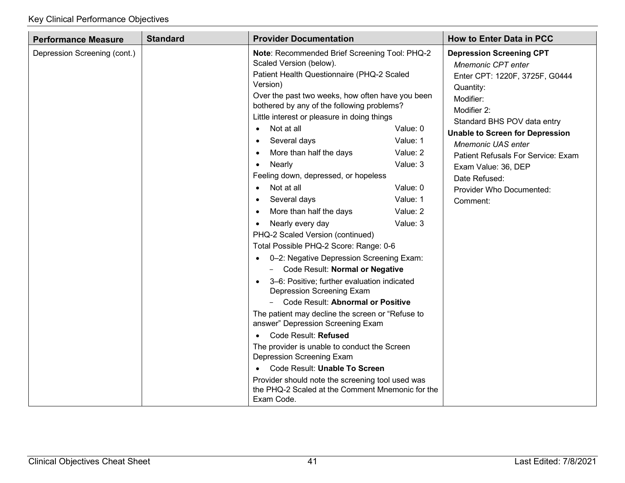| <b>Performance Measure</b>   | <b>Standard</b> | <b>Provider Documentation</b>                                                                                                                                                                                                                                                                                                                                                                                                                                                                                                                                                                                                                                                                                                                                                                                                                                                                                                                                                                                                                                                                                                                                                                                                 |                                                                                              | <b>How to Enter Data in PCC</b>                                                                                                                                                                                                                                                                                                                                     |
|------------------------------|-----------------|-------------------------------------------------------------------------------------------------------------------------------------------------------------------------------------------------------------------------------------------------------------------------------------------------------------------------------------------------------------------------------------------------------------------------------------------------------------------------------------------------------------------------------------------------------------------------------------------------------------------------------------------------------------------------------------------------------------------------------------------------------------------------------------------------------------------------------------------------------------------------------------------------------------------------------------------------------------------------------------------------------------------------------------------------------------------------------------------------------------------------------------------------------------------------------------------------------------------------------|----------------------------------------------------------------------------------------------|---------------------------------------------------------------------------------------------------------------------------------------------------------------------------------------------------------------------------------------------------------------------------------------------------------------------------------------------------------------------|
| Depression Screening (cont.) |                 | Note: Recommended Brief Screening Tool: PHQ-2<br>Scaled Version (below).<br>Patient Health Questionnaire (PHQ-2 Scaled<br>Version)<br>Over the past two weeks, how often have you been<br>bothered by any of the following problems?<br>Little interest or pleasure in doing things<br>Not at all<br>$\bullet$<br>Several days<br>$\bullet$<br>More than half the days<br>Nearly<br>$\bullet$<br>Feeling down, depressed, or hopeless<br>Not at all<br>Several days<br>$\bullet$<br>More than half the days<br>$\bullet$<br>Nearly every day<br>$\bullet$<br>PHQ-2 Scaled Version (continued)<br>Total Possible PHQ-2 Score: Range: 0-6<br>0-2: Negative Depression Screening Exam:<br>$\bullet$<br>Code Result: Normal or Negative<br>$-$<br>3-6: Positive; further evaluation indicated<br>Depression Screening Exam<br>Code Result: Abnormal or Positive<br>The patient may decline the screen or "Refuse to<br>answer" Depression Screening Exam<br>Code Result: Refused<br>$\bullet$<br>The provider is unable to conduct the Screen<br>Depression Screening Exam<br>Code Result: Unable To Screen<br>Provider should note the screening tool used was<br>the PHQ-2 Scaled at the Comment Mnemonic for the<br>Exam Code. | Value: 0<br>Value: 1<br>Value: 2<br>Value: 3<br>Value: 0<br>Value: 1<br>Value: 2<br>Value: 3 | <b>Depression Screening CPT</b><br><b>Mnemonic CPT enter</b><br>Enter CPT: 1220F, 3725F, G0444<br>Quantity:<br>Modifier:<br>Modifier 2:<br>Standard BHS POV data entry<br><b>Unable to Screen for Depression</b><br><b>Mnemonic UAS enter</b><br>Patient Refusals For Service: Exam<br>Exam Value: 36, DEP<br>Date Refused:<br>Provider Who Documented:<br>Comment: |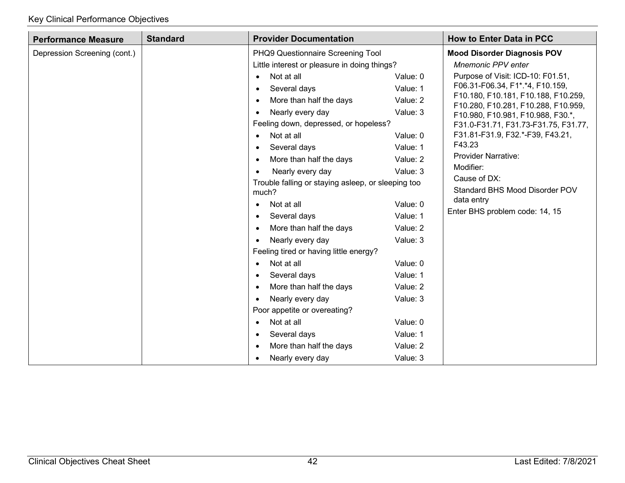| <b>Performance Measure</b>   | <b>Standard</b><br><b>Provider Documentation</b> |                                                             |                           | <b>How to Enter Data in PCC</b>                                            |  |
|------------------------------|--------------------------------------------------|-------------------------------------------------------------|---------------------------|----------------------------------------------------------------------------|--|
| Depression Screening (cont.) |                                                  | <b>Mood Disorder Diagnosis POV</b>                          |                           |                                                                            |  |
|                              |                                                  | Little interest or pleasure in doing things?                | <b>Mnemonic PPV enter</b> |                                                                            |  |
|                              |                                                  | Not at all<br>$\bullet$                                     | Value: 0                  | Purpose of Visit: ICD-10: F01.51,                                          |  |
|                              |                                                  | Several days<br>$\bullet$                                   | Value: 1                  | F06.31-F06.34, F1*.*4, F10.159,                                            |  |
|                              |                                                  | More than half the days<br>$\bullet$                        | Value: 2                  | F10.180, F10.181, F10.188, F10.259,<br>F10.280, F10.281, F10.288, F10.959, |  |
|                              |                                                  | Nearly every day<br>$\bullet$                               | Value: 3                  | F10.980, F10.981, F10.988, F30.*,                                          |  |
|                              |                                                  | Feeling down, depressed, or hopeless?                       |                           | F31.0-F31.71, F31.73-F31.75, F31.77,                                       |  |
|                              |                                                  | Not at all<br>$\bullet$                                     | Value: 0                  | F31.81-F31.9, F32.*-F39, F43.21,                                           |  |
|                              |                                                  | Several days<br>$\bullet$                                   | Value: 1                  | F43.23                                                                     |  |
|                              |                                                  | More than half the days<br>$\bullet$                        | Value: 2                  | <b>Provider Narrative:</b>                                                 |  |
|                              |                                                  | Nearly every day<br>$\bullet$                               | Value: 3                  | Modifier:                                                                  |  |
|                              |                                                  | Trouble falling or staying asleep, or sleeping too<br>much? |                           | Cause of DX:<br>Standard BHS Mood Disorder POV                             |  |
|                              |                                                  | Not at all<br>$\bullet$                                     | Value: 0                  | data entry                                                                 |  |
|                              |                                                  | Several days<br>$\bullet$                                   | Value: 1                  | Enter BHS problem code: 14, 15                                             |  |
|                              |                                                  | More than half the days                                     | Value: 2                  |                                                                            |  |
|                              |                                                  | Nearly every day                                            | Value: 3                  |                                                                            |  |
|                              |                                                  | Feeling tired or having little energy?                      |                           |                                                                            |  |
|                              |                                                  | Not at all                                                  | Value: 0                  |                                                                            |  |
|                              |                                                  | Several days<br>$\bullet$                                   | Value: 1                  |                                                                            |  |
|                              |                                                  | More than half the days<br>$\bullet$                        | Value: 2                  |                                                                            |  |
|                              |                                                  | Nearly every day<br>$\bullet$                               | Value: 3                  |                                                                            |  |
|                              |                                                  | Poor appetite or overeating?                                |                           |                                                                            |  |
|                              |                                                  | Not at all<br>$\bullet$                                     | Value: 0                  |                                                                            |  |
|                              |                                                  | Several days<br>$\bullet$                                   | Value: 1                  |                                                                            |  |
|                              |                                                  | More than half the days<br>$\bullet$                        | Value: 2                  |                                                                            |  |
|                              |                                                  | Nearly every day                                            | Value: 3                  |                                                                            |  |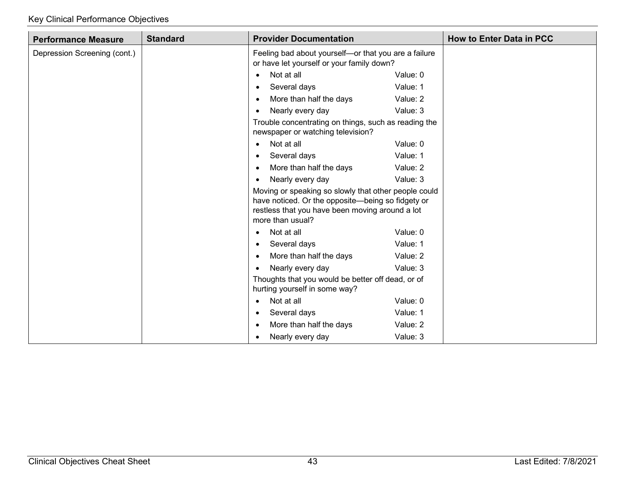| <b>Performance Measure</b>   | <b>Standard</b> | <b>Provider Documentation</b>                                                                                                                                                    |                                                      | <b>How to Enter Data in PCC</b> |
|------------------------------|-----------------|----------------------------------------------------------------------------------------------------------------------------------------------------------------------------------|------------------------------------------------------|---------------------------------|
| Depression Screening (cont.) |                 | or have let yourself or your family down?                                                                                                                                        | Feeling bad about yourself-or that you are a failure |                                 |
|                              |                 | Not at all<br>$\bullet$                                                                                                                                                          | Value: 0                                             |                                 |
|                              |                 | Several days<br>$\bullet$                                                                                                                                                        | Value: 1                                             |                                 |
|                              |                 | More than half the days<br>$\bullet$                                                                                                                                             | Value: 2                                             |                                 |
|                              |                 | Nearly every day<br>$\bullet$                                                                                                                                                    | Value: 3                                             |                                 |
|                              |                 | Trouble concentrating on things, such as reading the<br>newspaper or watching television?                                                                                        |                                                      |                                 |
|                              |                 | Not at all<br>$\bullet$                                                                                                                                                          | Value: 0                                             |                                 |
|                              |                 | Several days                                                                                                                                                                     | Value: 1                                             |                                 |
|                              |                 | More than half the days                                                                                                                                                          | Value: 2                                             |                                 |
|                              |                 | Nearly every day<br>$\bullet$                                                                                                                                                    | Value: 3                                             |                                 |
|                              |                 | Moving or speaking so slowly that other people could<br>have noticed. Or the opposite-being so fidgety or<br>restless that you have been moving around a lot<br>more than usual? |                                                      |                                 |
|                              |                 | Not at all<br>$\bullet$                                                                                                                                                          | Value: 0                                             |                                 |
|                              |                 | Several days                                                                                                                                                                     | Value: 1                                             |                                 |
|                              |                 | More than half the days<br>$\bullet$                                                                                                                                             | Value: 2                                             |                                 |
|                              |                 | Nearly every day<br>$\bullet$                                                                                                                                                    | Value: 3                                             |                                 |
|                              |                 | Thoughts that you would be better off dead, or of<br>hurting yourself in some way?                                                                                               |                                                      |                                 |
|                              |                 | Not at all<br>$\bullet$                                                                                                                                                          | Value: 0                                             |                                 |
|                              |                 | Several days<br>$\bullet$                                                                                                                                                        | Value: 1                                             |                                 |
|                              |                 | More than half the days<br>$\bullet$                                                                                                                                             | Value: 2                                             |                                 |
|                              |                 | Nearly every day                                                                                                                                                                 | Value: 3                                             |                                 |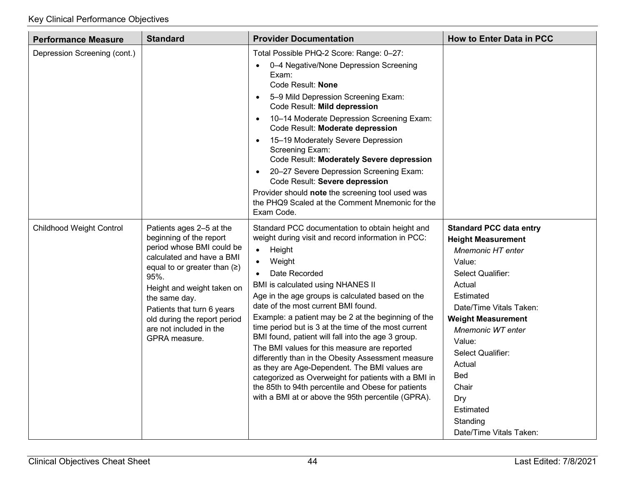| <b>Performance Measure</b>      | <b>Standard</b>                                                                                                                                                                                                                                                                                                       | <b>Provider Documentation</b>                                                                                                                                                                                                                                                                                                                                                                                                                                                                                                                                                                                                                                                                                                                                                                        | <b>How to Enter Data in PCC</b>                                                                                                                                                                                                                                                                                                                       |
|---------------------------------|-----------------------------------------------------------------------------------------------------------------------------------------------------------------------------------------------------------------------------------------------------------------------------------------------------------------------|------------------------------------------------------------------------------------------------------------------------------------------------------------------------------------------------------------------------------------------------------------------------------------------------------------------------------------------------------------------------------------------------------------------------------------------------------------------------------------------------------------------------------------------------------------------------------------------------------------------------------------------------------------------------------------------------------------------------------------------------------------------------------------------------------|-------------------------------------------------------------------------------------------------------------------------------------------------------------------------------------------------------------------------------------------------------------------------------------------------------------------------------------------------------|
| Depression Screening (cont.)    |                                                                                                                                                                                                                                                                                                                       | Total Possible PHQ-2 Score: Range: 0-27:<br>0-4 Negative/None Depression Screening<br>Exam:<br>Code Result: None<br>5-9 Mild Depression Screening Exam:<br>$\bullet$<br>Code Result: Mild depression<br>10-14 Moderate Depression Screening Exam:<br>$\bullet$<br>Code Result: Moderate depression<br>15-19 Moderately Severe Depression<br>$\bullet$<br>Screening Exam:<br>Code Result: Moderately Severe depression<br>20-27 Severe Depression Screening Exam:<br>$\bullet$<br>Code Result: Severe depression<br>Provider should note the screening tool used was<br>the PHQ9 Scaled at the Comment Mnemonic for the<br>Exam Code.                                                                                                                                                                 |                                                                                                                                                                                                                                                                                                                                                       |
| <b>Childhood Weight Control</b> | Patients ages 2-5 at the<br>beginning of the report<br>period whose BMI could be<br>calculated and have a BMI<br>equal to or greater than $( \geq )$<br>95%.<br>Height and weight taken on<br>the same day.<br>Patients that turn 6 years<br>old during the report period<br>are not included in the<br>GPRA measure. | Standard PCC documentation to obtain height and<br>weight during visit and record information in PCC:<br>Height<br>$\bullet$<br>Weight<br>Date Recorded<br>$\bullet$<br>BMI is calculated using NHANES II<br>Age in the age groups is calculated based on the<br>date of the most current BMI found.<br>Example: a patient may be 2 at the beginning of the<br>time period but is 3 at the time of the most current<br>BMI found, patient will fall into the age 3 group.<br>The BMI values for this measure are reported<br>differently than in the Obesity Assessment measure<br>as they are Age-Dependent. The BMI values are<br>categorized as Overweight for patients with a BMI in<br>the 85th to 94th percentile and Obese for patients<br>with a BMI at or above the 95th percentile (GPRA). | <b>Standard PCC data entry</b><br><b>Height Measurement</b><br><b>Mnemonic HT enter</b><br>Value:<br>Select Qualifier:<br>Actual<br>Estimated<br>Date/Time Vitals Taken:<br><b>Weight Measurement</b><br>Mnemonic WT enter<br>Value:<br>Select Qualifier:<br>Actual<br><b>Bed</b><br>Chair<br>Dry<br>Estimated<br>Standing<br>Date/Time Vitals Taken: |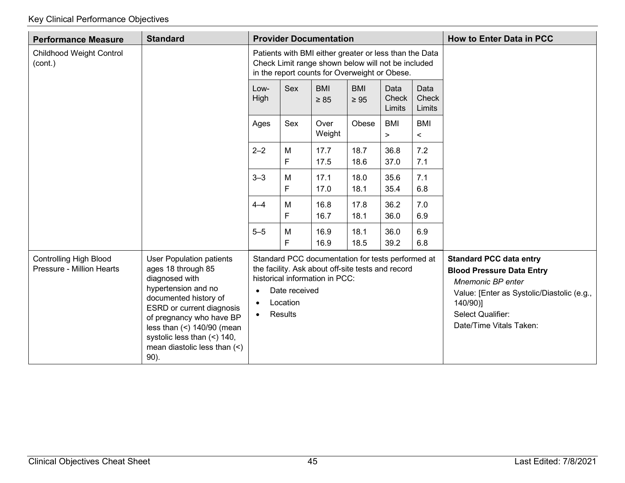| <b>Performance Measure</b>                                 | <b>Standard</b>                                                                                                                                                                                                                                                                            |                                     |                                                                                                                                                               | <b>Provider Documentation</b>                                                                                                            |                         |                         |                         | <b>How to Enter Data in PCC</b>                                                                                                                                                                   |
|------------------------------------------------------------|--------------------------------------------------------------------------------------------------------------------------------------------------------------------------------------------------------------------------------------------------------------------------------------------|-------------------------------------|---------------------------------------------------------------------------------------------------------------------------------------------------------------|------------------------------------------------------------------------------------------------------------------------------------------|-------------------------|-------------------------|-------------------------|---------------------------------------------------------------------------------------------------------------------------------------------------------------------------------------------------|
| <b>Childhood Weight Control</b><br>(cont.)                 |                                                                                                                                                                                                                                                                                            |                                     | Patients with BMI either greater or less than the Data<br>Check Limit range shown below will not be included<br>in the report counts for Overweight or Obese. |                                                                                                                                          |                         |                         |                         |                                                                                                                                                                                                   |
|                                                            |                                                                                                                                                                                                                                                                                            | Low-<br>High                        | Sex                                                                                                                                                           | <b>BMI</b><br>$\geq 85$                                                                                                                  | <b>BMI</b><br>$\geq 95$ | Data<br>Check<br>Limits | Data<br>Check<br>Limits |                                                                                                                                                                                                   |
|                                                            |                                                                                                                                                                                                                                                                                            | Ages                                | Sex                                                                                                                                                           | Over<br>Weight                                                                                                                           | Obese                   | <b>BMI</b><br>$\geq$    | <b>BMI</b><br>$\,<$     |                                                                                                                                                                                                   |
|                                                            |                                                                                                                                                                                                                                                                                            | $2 - 2$                             | M<br>F                                                                                                                                                        | 17.7<br>17.5                                                                                                                             | 18.7<br>18.6            | 36.8<br>37.0            | 7.2<br>7.1              |                                                                                                                                                                                                   |
|                                                            |                                                                                                                                                                                                                                                                                            | $3 - 3$                             | M<br>F                                                                                                                                                        | 17.1<br>17.0                                                                                                                             | 18.0<br>18.1            | 35.6<br>35.4            | 7.1<br>6.8              |                                                                                                                                                                                                   |
|                                                            |                                                                                                                                                                                                                                                                                            | $4 - 4$                             | M<br>F                                                                                                                                                        | 16.8<br>16.7                                                                                                                             | 17.8<br>18.1            | 36.2<br>36.0            | 7.0<br>6.9              |                                                                                                                                                                                                   |
|                                                            |                                                                                                                                                                                                                                                                                            | $5 - 5$                             | M<br>F                                                                                                                                                        | 16.9<br>16.9                                                                                                                             | 18.1<br>18.5            | 36.0<br>39.2            | 6.9<br>6.8              |                                                                                                                                                                                                   |
| <b>Controlling High Blood</b><br>Pressure - Million Hearts | <b>User Population patients</b><br>ages 18 through 85<br>diagnosed with<br>hypertension and no<br>documented history of<br>ESRD or current diagnosis<br>of pregnancy who have BP<br>less than $($ $2)$ 140/90 (mean<br>systolic less than (<) 140,<br>mean diastolic less than (<)<br>90). | $\bullet$<br>$\bullet$<br>$\bullet$ | Date received<br>Location<br>Results                                                                                                                          | Standard PCC documentation for tests performed at<br>the facility. Ask about off-site tests and record<br>historical information in PCC: |                         |                         |                         | <b>Standard PCC data entry</b><br><b>Blood Pressure Data Entry</b><br>Mnemonic BP enter<br>Value: [Enter as Systolic/Diastolic (e.g.,<br>140/90)]<br>Select Qualifier:<br>Date/Time Vitals Taken: |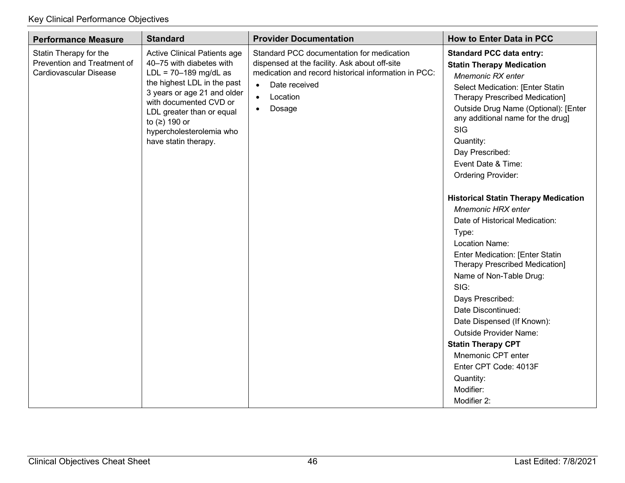| <b>Performance Measure</b>                                                      | <b>Standard</b>                                                                                                                                                                                                                                                                 | <b>Provider Documentation</b>                                                                                                                                                                                                    | <b>How to Enter Data in PCC</b>                                                                                                                                                                                                                                                                                                                                                                                                                                                                                                                                                                                                                                                                                                                                                                                                                         |
|---------------------------------------------------------------------------------|---------------------------------------------------------------------------------------------------------------------------------------------------------------------------------------------------------------------------------------------------------------------------------|----------------------------------------------------------------------------------------------------------------------------------------------------------------------------------------------------------------------------------|---------------------------------------------------------------------------------------------------------------------------------------------------------------------------------------------------------------------------------------------------------------------------------------------------------------------------------------------------------------------------------------------------------------------------------------------------------------------------------------------------------------------------------------------------------------------------------------------------------------------------------------------------------------------------------------------------------------------------------------------------------------------------------------------------------------------------------------------------------|
| Statin Therapy for the<br>Prevention and Treatment of<br>Cardiovascular Disease | Active Clinical Patients age<br>40-75 with diabetes with<br>$LDL = 70-189$ mg/dL as<br>the highest LDL in the past<br>3 years or age 21 and older<br>with documented CVD or<br>LDL greater than or equal<br>to $(2)$ 190 or<br>hypercholesterolemia who<br>have statin therapy. | Standard PCC documentation for medication<br>dispensed at the facility. Ask about off-site<br>medication and record historical information in PCC:<br>Date received<br>$\bullet$<br>Location<br>$\bullet$<br>Dosage<br>$\bullet$ | <b>Standard PCC data entry:</b><br><b>Statin Therapy Medication</b><br>Mnemonic RX enter<br>Select Medication: [Enter Statin<br><b>Therapy Prescribed Medication]</b><br>Outside Drug Name (Optional): [Enter<br>any additional name for the drug]<br><b>SIG</b><br>Quantity:<br>Day Prescribed:<br>Event Date & Time:<br><b>Ordering Provider:</b><br><b>Historical Statin Therapy Medication</b><br><b>Mnemonic HRX enter</b><br>Date of Historical Medication:<br>Type:<br><b>Location Name:</b><br><b>Enter Medication: [Enter Statin</b><br><b>Therapy Prescribed Medication]</b><br>Name of Non-Table Drug:<br>SIG:<br>Days Prescribed:<br>Date Discontinued:<br>Date Dispensed (If Known):<br><b>Outside Provider Name:</b><br><b>Statin Therapy CPT</b><br>Mnemonic CPT enter<br>Enter CPT Code: 4013F<br>Quantity:<br>Modifier:<br>Modifier 2: |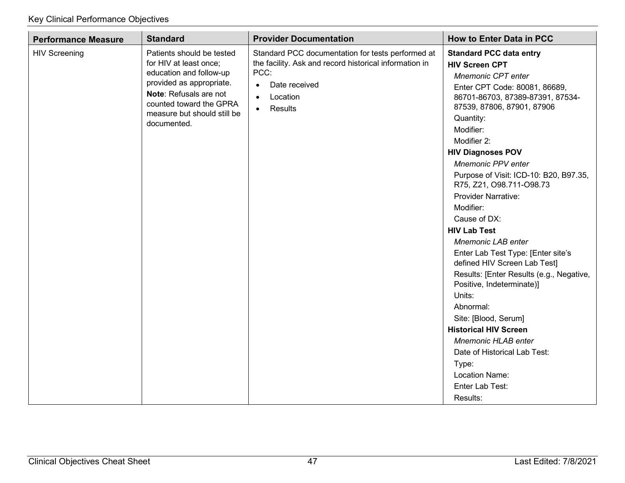| <b>Performance Measure</b> | <b>Standard</b>                                                                                                                                                                                               | <b>Provider Documentation</b>                                                                                                                                                                      | <b>How to Enter Data in PCC</b>                                                                                                                                                                                                                                                                                                                                                                                                                                                                                                                                                                                                                                                                                                                                                                                        |
|----------------------------|---------------------------------------------------------------------------------------------------------------------------------------------------------------------------------------------------------------|----------------------------------------------------------------------------------------------------------------------------------------------------------------------------------------------------|------------------------------------------------------------------------------------------------------------------------------------------------------------------------------------------------------------------------------------------------------------------------------------------------------------------------------------------------------------------------------------------------------------------------------------------------------------------------------------------------------------------------------------------------------------------------------------------------------------------------------------------------------------------------------------------------------------------------------------------------------------------------------------------------------------------------|
| <b>HIV Screening</b>       | Patients should be tested<br>for HIV at least once;<br>education and follow-up<br>provided as appropriate.<br>Note: Refusals are not<br>counted toward the GPRA<br>measure but should still be<br>documented. | Standard PCC documentation for tests performed at<br>the facility. Ask and record historical information in<br>PCC:<br>Date received<br>$\bullet$<br>Location<br>$\bullet$<br>Results<br>$\bullet$ | <b>Standard PCC data entry</b><br><b>HIV Screen CPT</b><br>Mnemonic CPT enter<br>Enter CPT Code: 80081, 86689,<br>86701-86703, 87389-87391, 87534-<br>87539, 87806, 87901, 87906<br>Quantity:<br>Modifier:<br>Modifier 2:<br><b>HIV Diagnoses POV</b><br>Mnemonic PPV enter<br>Purpose of Visit: ICD-10: B20, B97.35,<br>R75, Z21, O98.711-O98.73<br><b>Provider Narrative:</b><br>Modifier:<br>Cause of DX:<br><b>HIV Lab Test</b><br><b>Mnemonic LAB enter</b><br>Enter Lab Test Type: [Enter site's<br>defined HIV Screen Lab Test]<br>Results: [Enter Results (e.g., Negative,<br>Positive, Indeterminate)]<br>Units:<br>Abnormal:<br>Site: [Blood, Serum]<br><b>Historical HIV Screen</b><br><b>Mnemonic HLAB enter</b><br>Date of Historical Lab Test:<br>Type:<br>Location Name:<br>Enter Lab Test:<br>Results: |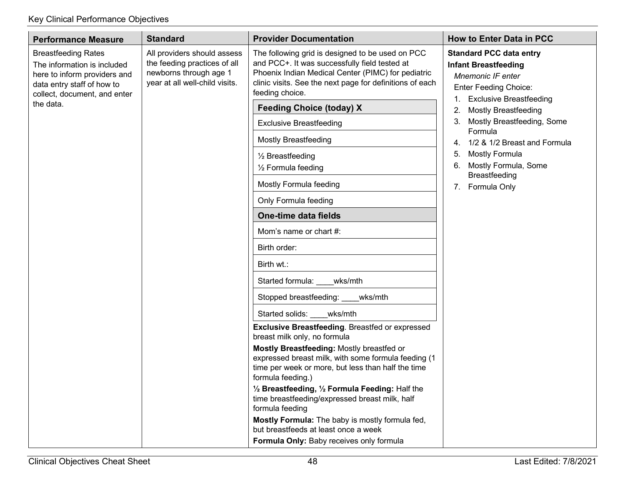| <b>Performance Measure</b>                                                                                                                              | <b>Standard</b>                                                                                                         | <b>Provider Documentation</b>                                                                                                                                                                                                                                                                                                                                               | <b>How to Enter Data in PCC</b>                                                                                                                            |
|---------------------------------------------------------------------------------------------------------------------------------------------------------|-------------------------------------------------------------------------------------------------------------------------|-----------------------------------------------------------------------------------------------------------------------------------------------------------------------------------------------------------------------------------------------------------------------------------------------------------------------------------------------------------------------------|------------------------------------------------------------------------------------------------------------------------------------------------------------|
| <b>Breastfeeding Rates</b><br>The information is included<br>here to inform providers and<br>data entry staff of how to<br>collect, document, and enter | All providers should assess<br>the feeding practices of all<br>newborns through age 1<br>year at all well-child visits. | The following grid is designed to be used on PCC<br>and PCC+. It was successfully field tested at<br>Phoenix Indian Medical Center (PIMC) for pediatric<br>clinic visits. See the next page for definitions of each<br>feeding choice.                                                                                                                                      | <b>Standard PCC data entry</b><br><b>Infant Breastfeeding</b><br>Mnemonic IF enter<br><b>Enter Feeding Choice:</b><br><b>Exclusive Breastfeeding</b><br>1. |
| the data.                                                                                                                                               |                                                                                                                         | <b>Feeding Choice (today) X</b>                                                                                                                                                                                                                                                                                                                                             | <b>Mostly Breastfeeding</b><br>2.                                                                                                                          |
|                                                                                                                                                         |                                                                                                                         | <b>Exclusive Breastfeeding</b>                                                                                                                                                                                                                                                                                                                                              | Mostly Breastfeeding, Some<br>3.<br>Formula                                                                                                                |
|                                                                                                                                                         |                                                                                                                         | <b>Mostly Breastfeeding</b>                                                                                                                                                                                                                                                                                                                                                 | 1/2 & 1/2 Breast and Formula<br>4.                                                                                                                         |
|                                                                                                                                                         |                                                                                                                         | 1/2 Breastfeeding<br>1/ <sub>2</sub> Formula feeding                                                                                                                                                                                                                                                                                                                        | <b>Mostly Formula</b><br>5.<br>Mostly Formula, Some<br>6.<br><b>Breastfeeding</b>                                                                          |
|                                                                                                                                                         |                                                                                                                         | Mostly Formula feeding                                                                                                                                                                                                                                                                                                                                                      | 7. Formula Only                                                                                                                                            |
|                                                                                                                                                         |                                                                                                                         | Only Formula feeding                                                                                                                                                                                                                                                                                                                                                        |                                                                                                                                                            |
|                                                                                                                                                         |                                                                                                                         | One-time data fields                                                                                                                                                                                                                                                                                                                                                        |                                                                                                                                                            |
|                                                                                                                                                         |                                                                                                                         | Mom's name or chart #:                                                                                                                                                                                                                                                                                                                                                      |                                                                                                                                                            |
|                                                                                                                                                         |                                                                                                                         | Birth order:                                                                                                                                                                                                                                                                                                                                                                |                                                                                                                                                            |
|                                                                                                                                                         |                                                                                                                         | Birth wt.:                                                                                                                                                                                                                                                                                                                                                                  |                                                                                                                                                            |
|                                                                                                                                                         |                                                                                                                         | Started formula:<br>wks/mth                                                                                                                                                                                                                                                                                                                                                 |                                                                                                                                                            |
|                                                                                                                                                         |                                                                                                                         | Stopped breastfeeding: ____wks/mth                                                                                                                                                                                                                                                                                                                                          |                                                                                                                                                            |
|                                                                                                                                                         |                                                                                                                         | Started solids: wks/mth                                                                                                                                                                                                                                                                                                                                                     |                                                                                                                                                            |
|                                                                                                                                                         |                                                                                                                         | <b>Exclusive Breastfeeding. Breastfed or expressed</b><br>breast milk only, no formula<br>Mostly Breastfeeding: Mostly breastfed or<br>expressed breast milk, with some formula feeding (1<br>time per week or more, but less than half the time<br>formula feeding.)<br>1/2 Breastfeeding, 1/2 Formula Feeding: Half the<br>time breastfeeding/expressed breast milk, half |                                                                                                                                                            |
|                                                                                                                                                         |                                                                                                                         | formula feeding<br>Mostly Formula: The baby is mostly formula fed,<br>but breastfeeds at least once a week<br>Formula Only: Baby receives only formula                                                                                                                                                                                                                      |                                                                                                                                                            |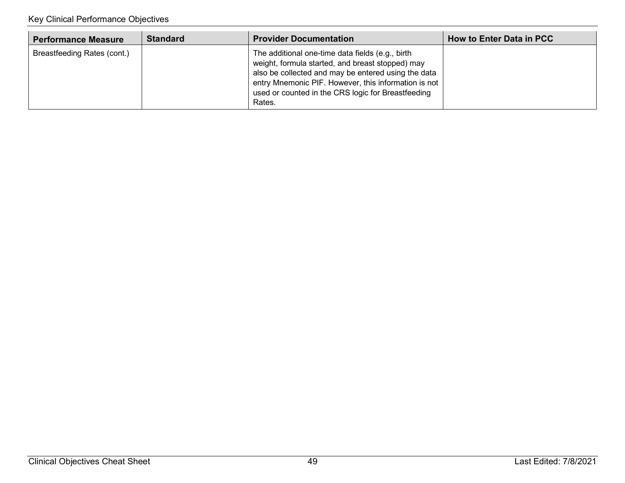| <b>Performance Measure</b>  | <b>Standard</b> | <b>Provider Documentation</b>                                                                                                                                                                                                                                                       | How to Enter Data in PCC |
|-----------------------------|-----------------|-------------------------------------------------------------------------------------------------------------------------------------------------------------------------------------------------------------------------------------------------------------------------------------|--------------------------|
| Breastfeeding Rates (cont.) |                 | The additional one-time data fields (e.g., birth<br>weight, formula started, and breast stopped) may<br>also be collected and may be entered using the data<br>entry Mnemonic PIF. However, this information is not<br>used or counted in the CRS logic for Breastfeeding<br>Rates. |                          |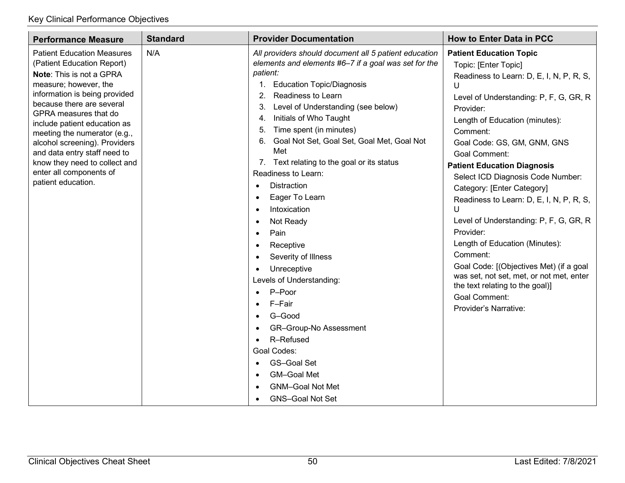| <b>Performance Measure</b>                                                                                                                                                                                                                                                                                                                                                                                                     | <b>Standard</b> | <b>Provider Documentation</b>                                                                                                                                                                                                                                                                                                                                                                                                                                                                                                                                                                                                                                                                                                                                                                                                               | <b>How to Enter Data in PCC</b>                                                                                                                                                                                                                                                                                                                                                                                                                                                                                                                                                                                                                                                                               |
|--------------------------------------------------------------------------------------------------------------------------------------------------------------------------------------------------------------------------------------------------------------------------------------------------------------------------------------------------------------------------------------------------------------------------------|-----------------|---------------------------------------------------------------------------------------------------------------------------------------------------------------------------------------------------------------------------------------------------------------------------------------------------------------------------------------------------------------------------------------------------------------------------------------------------------------------------------------------------------------------------------------------------------------------------------------------------------------------------------------------------------------------------------------------------------------------------------------------------------------------------------------------------------------------------------------------|---------------------------------------------------------------------------------------------------------------------------------------------------------------------------------------------------------------------------------------------------------------------------------------------------------------------------------------------------------------------------------------------------------------------------------------------------------------------------------------------------------------------------------------------------------------------------------------------------------------------------------------------------------------------------------------------------------------|
| <b>Patient Education Measures</b><br>(Patient Education Report)<br>Note: This is not a GPRA<br>measure; however, the<br>information is being provided<br>because there are several<br>GPRA measures that do<br>include patient education as<br>meeting the numerator (e.g.,<br>alcohol screening). Providers<br>and data entry staff need to<br>know they need to collect and<br>enter all components of<br>patient education. | N/A             | All providers should document all 5 patient education<br>elements and elements #6-7 if a goal was set for the<br>patient:<br><b>Education Topic/Diagnosis</b><br>1.<br>Readiness to Learn<br>2.<br>3.<br>Level of Understanding (see below)<br>Initials of Who Taught<br>4.<br>Time spent (in minutes)<br>5.<br>Goal Not Set, Goal Set, Goal Met, Goal Not<br>6.<br>Met<br>7. Text relating to the goal or its status<br>Readiness to Learn:<br><b>Distraction</b><br>$\bullet$<br>Eager To Learn<br>$\bullet$<br>Intoxication<br>Not Ready<br>Pain<br>$\bullet$<br>Receptive<br>$\bullet$<br>Severity of Illness<br>Unreceptive<br>Levels of Understanding:<br>P-Poor<br>F-Fair<br>G-Good<br>GR-Group-No Assessment<br>R-Refused<br>Goal Codes:<br><b>GS-Goal Set</b><br>GM-Goal Met<br><b>GNM-Goal Not Met</b><br><b>GNS-Goal Not Set</b> | <b>Patient Education Topic</b><br>Topic: [Enter Topic]<br>Readiness to Learn: D, E, I, N, P, R, S,<br>U<br>Level of Understanding: P, F, G, GR, R<br>Provider:<br>Length of Education (minutes):<br>Comment:<br>Goal Code: GS, GM, GNM, GNS<br><b>Goal Comment:</b><br><b>Patient Education Diagnosis</b><br>Select ICD Diagnosis Code Number:<br>Category: [Enter Category]<br>Readiness to Learn: D, E, I, N, P, R, S,<br>U<br>Level of Understanding: P, F, G, GR, R<br>Provider:<br>Length of Education (Minutes):<br>Comment:<br>Goal Code: [(Objectives Met) (if a goal<br>was set, not set, met, or not met, enter<br>the text relating to the goal)]<br><b>Goal Comment:</b><br>Provider's Narrative: |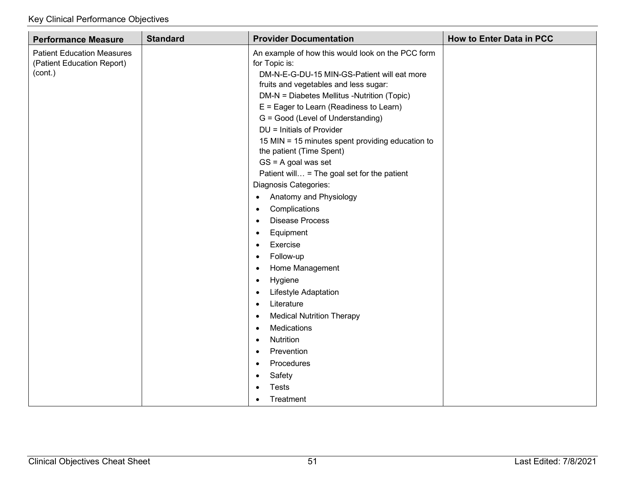| <b>Performance Measure</b>                                                 | <b>Standard</b> | <b>Provider Documentation</b>                                                                                                                                                                                                                                                                                                                                                                                                                                                                                                                                                                                                                                                                                                                                                                                                                                                                                                                                                               | <b>How to Enter Data in PCC</b> |
|----------------------------------------------------------------------------|-----------------|---------------------------------------------------------------------------------------------------------------------------------------------------------------------------------------------------------------------------------------------------------------------------------------------------------------------------------------------------------------------------------------------------------------------------------------------------------------------------------------------------------------------------------------------------------------------------------------------------------------------------------------------------------------------------------------------------------------------------------------------------------------------------------------------------------------------------------------------------------------------------------------------------------------------------------------------------------------------------------------------|---------------------------------|
| <b>Patient Education Measures</b><br>(Patient Education Report)<br>(cont.) |                 | An example of how this would look on the PCC form<br>for Topic is:<br>DM-N-E-G-DU-15 MIN-GS-Patient will eat more<br>fruits and vegetables and less sugar:<br>DM-N = Diabetes Mellitus -Nutrition (Topic)<br>$E =$ Eager to Learn (Readiness to Learn)<br>G = Good (Level of Understanding)<br>DU = Initials of Provider<br>15 MIN = 15 minutes spent providing education to<br>the patient (Time Spent)<br>$GS = A$ goal was set<br>Patient will = The goal set for the patient<br>Diagnosis Categories:<br>Anatomy and Physiology<br>$\bullet$<br>Complications<br>$\bullet$<br><b>Disease Process</b><br>$\bullet$<br>Equipment<br>$\bullet$<br>Exercise<br>$\bullet$<br>Follow-up<br>$\bullet$<br>Home Management<br>$\bullet$<br>Hygiene<br>$\bullet$<br><b>Lifestyle Adaptation</b><br>$\bullet$<br>Literature<br>$\bullet$<br><b>Medical Nutrition Therapy</b><br>$\bullet$<br>Medications<br>Nutrition<br>$\bullet$<br>Prevention<br>$\bullet$<br>Procedures<br>Safety<br>$\bullet$ |                                 |
|                                                                            |                 | <b>Tests</b><br>Treatment                                                                                                                                                                                                                                                                                                                                                                                                                                                                                                                                                                                                                                                                                                                                                                                                                                                                                                                                                                   |                                 |
|                                                                            |                 | $\bullet$                                                                                                                                                                                                                                                                                                                                                                                                                                                                                                                                                                                                                                                                                                                                                                                                                                                                                                                                                                                   |                                 |